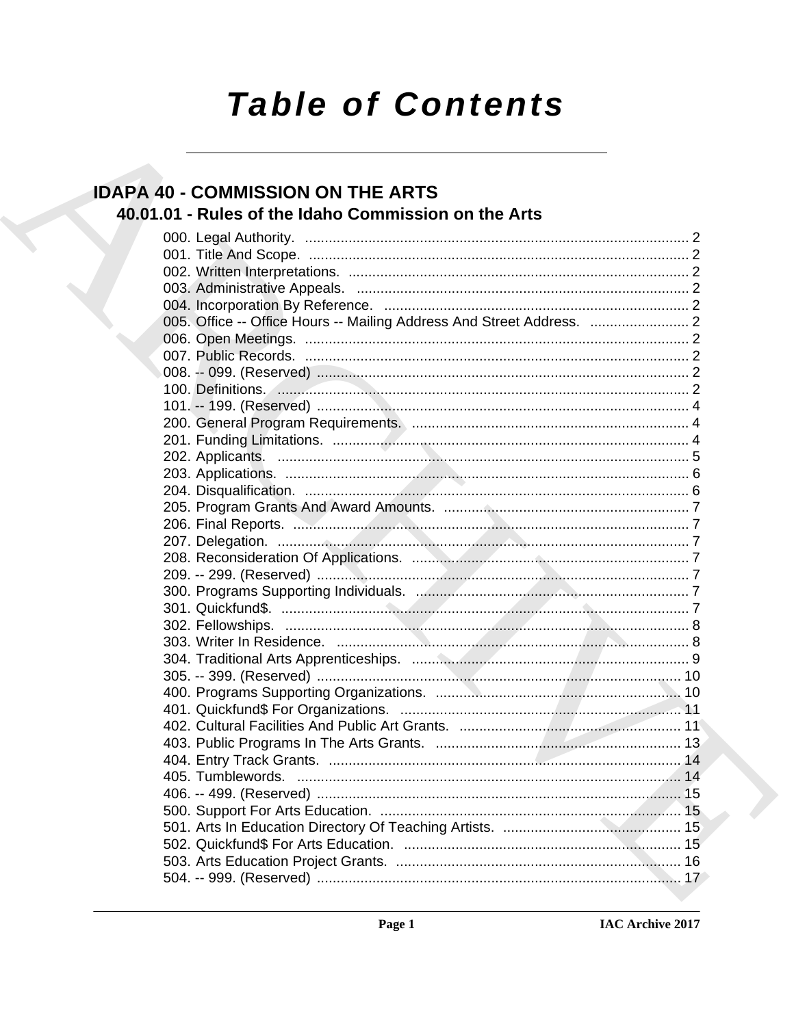# **Table of Contents**

# **IDAPA 40 - COMMISSION ON THE ARTS** 40.01.01 - Rules of the Idaho Commission on the Arts

| 100. Definitions. 2008. 2009. 2010. 2010. 2010. 2010. 2010. 2010. 2010. 2010. 2010. 2010. 2010. 2010. 2010. 2010. 2010. 2010. 2010. 2010. 2010. 2010. 2010. 2010. 2010. 2010. 2010. 2010. 2010. 2010. 2010. 2010. 2010. 2010. |  |
|-------------------------------------------------------------------------------------------------------------------------------------------------------------------------------------------------------------------------------|--|
|                                                                                                                                                                                                                               |  |
|                                                                                                                                                                                                                               |  |
|                                                                                                                                                                                                                               |  |
|                                                                                                                                                                                                                               |  |
|                                                                                                                                                                                                                               |  |
|                                                                                                                                                                                                                               |  |
|                                                                                                                                                                                                                               |  |
|                                                                                                                                                                                                                               |  |
|                                                                                                                                                                                                                               |  |
|                                                                                                                                                                                                                               |  |
|                                                                                                                                                                                                                               |  |
|                                                                                                                                                                                                                               |  |
|                                                                                                                                                                                                                               |  |
|                                                                                                                                                                                                                               |  |
|                                                                                                                                                                                                                               |  |
|                                                                                                                                                                                                                               |  |
|                                                                                                                                                                                                                               |  |
|                                                                                                                                                                                                                               |  |
|                                                                                                                                                                                                                               |  |
|                                                                                                                                                                                                                               |  |
|                                                                                                                                                                                                                               |  |
|                                                                                                                                                                                                                               |  |
|                                                                                                                                                                                                                               |  |
|                                                                                                                                                                                                                               |  |
|                                                                                                                                                                                                                               |  |
|                                                                                                                                                                                                                               |  |
|                                                                                                                                                                                                                               |  |
|                                                                                                                                                                                                                               |  |
|                                                                                                                                                                                                                               |  |
|                                                                                                                                                                                                                               |  |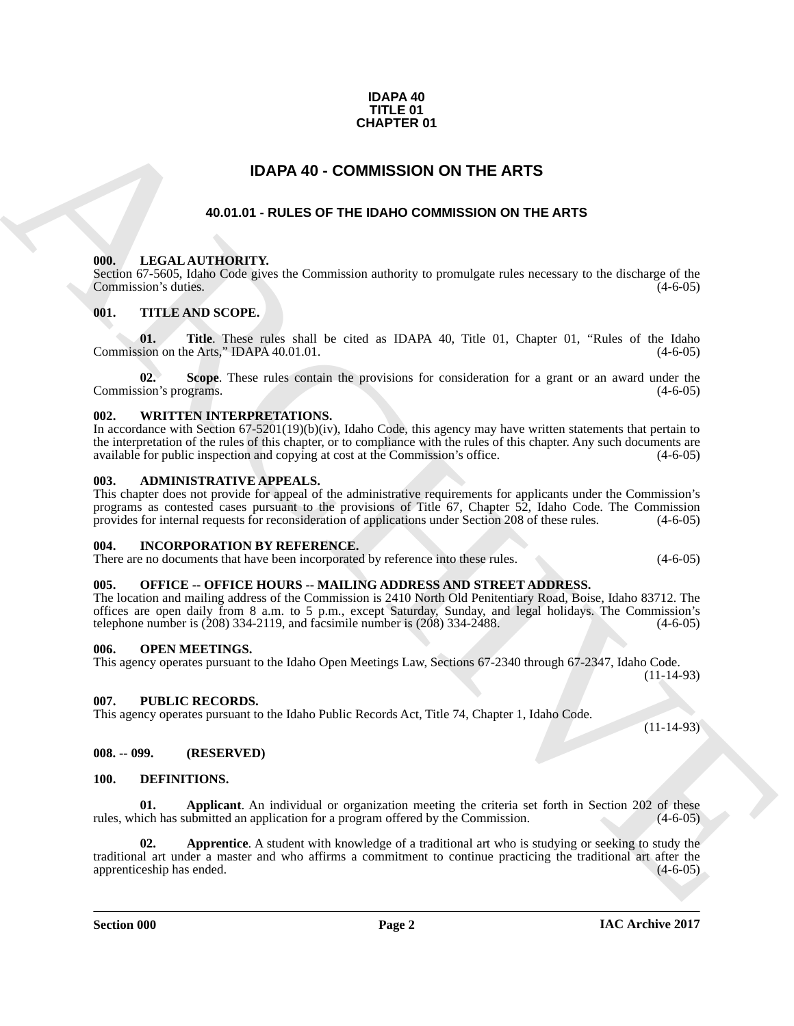### **IDAPA 40 TITLE 01 CHAPTER 01**

# **IDAPA 40 - COMMISSION ON THE ARTS**

### **40.01.01 - RULES OF THE IDAHO COMMISSION ON THE ARTS**

### <span id="page-1-2"></span><span id="page-1-1"></span><span id="page-1-0"></span>**000. LEGAL AUTHORITY.**

Section 67-5605, Idaho Code gives the Commission authority to promulgate rules necessary to the discharge of the Commission's duties. (4-6-05) Commission's duties.

### <span id="page-1-3"></span>**001. TITLE AND SCOPE.**

**01.** Title. These rules shall be cited as IDAPA 40, Title 01, Chapter 01, "Rules of the Idaho sion on the Arts." IDAPA 40.01.01. Commission on the Arts," IDAPA 40.01.01.

**02.** Scope. These rules contain the provisions for consideration for a grant or an award under the sion's programs. (4-6-05) Commission's programs.

### <span id="page-1-4"></span>**002. WRITTEN INTERPRETATIONS.**

In accordance with Section 67-5201(19)(b)(iv), Idaho Code, this agency may have written statements that pertain to the interpretation of the rules of this chapter, or to compliance with the rules of this chapter. Any such documents are available for public inspection and copying at cost at the Commission's office. (4-6-05) available for public inspection and copying at cost at the Commission's office.

### <span id="page-1-5"></span>**003. ADMINISTRATIVE APPEALS.**

This chapter does not provide for appeal of the administrative requirements for applicants under the Commission's programs as contested cases pursuant to the provisions of Title 67, Chapter 52, Idaho Code. The Commission provides for internal requests for reconsideration of applications under Section 208 of these rules. (4-6-05) provides for internal requests for reconsideration of applications under Section 208 of these rules.

### <span id="page-1-6"></span>**004. INCORPORATION BY REFERENCE.**

There are no documents that have been incorporated by reference into these rules. (4-6-05)

### <span id="page-1-7"></span>**005. OFFICE -- OFFICE HOURS -- MAILING ADDRESS AND STREET ADDRESS.**

The location and mailing address of the Commission is 2410 North Old Penitentiary Road, Boise, Idaho 83712. The offices are open daily from 8 a.m. to 5 p.m., except Saturday, Sunday, and legal holidays. The Commission's telephone number is  $(208)$  334-2119, and facsimile number is  $(208)$  334-2488.

### <span id="page-1-15"></span><span id="page-1-8"></span>**006. OPEN MEETINGS.**

This agency operates pursuant to the Idaho Open Meetings Law, Sections 67-2340 through 67-2347, Idaho Code. (11-14-93)

### <span id="page-1-9"></span>**007. PUBLIC RECORDS.**

This agency operates pursuant to the Idaho Public Records Act, Title 74, Chapter 1, Idaho Code.

<span id="page-1-10"></span>**008. -- 099. (RESERVED)**

### <span id="page-1-13"></span><span id="page-1-12"></span><span id="page-1-11"></span>**100. DEFINITIONS.**

<span id="page-1-14"></span>**01. Applicant**. An individual or organization meeting the criteria set forth in Section 202 of these inch has submitted an application for a program offered by the Commission. (4-6-05) rules, which has submitted an application for a program offered by the Commission.

**CHAPTER 01**<br> **ADAPA 40 - COMMISSION ON THE ARTS**<br> **ADAPA 40 - COMMISSION ON THE ARTS**<br> **ADAPA 40 - COMMISSION ON THE ARTS**<br> **ARCHIVENTY CONTRACT COMMISSION ON THE ARTS**<br> **COMMISSION CONTRACT CONTRACT COMMISSION ON THE AR 02. Apprentice**. A student with knowledge of a traditional art who is studying or seeking to study the traditional art under a master and who affirms a commitment to continue practicing the traditional art after the apprenticeship has ended.

**Section 000 Page 2**

(11-14-93)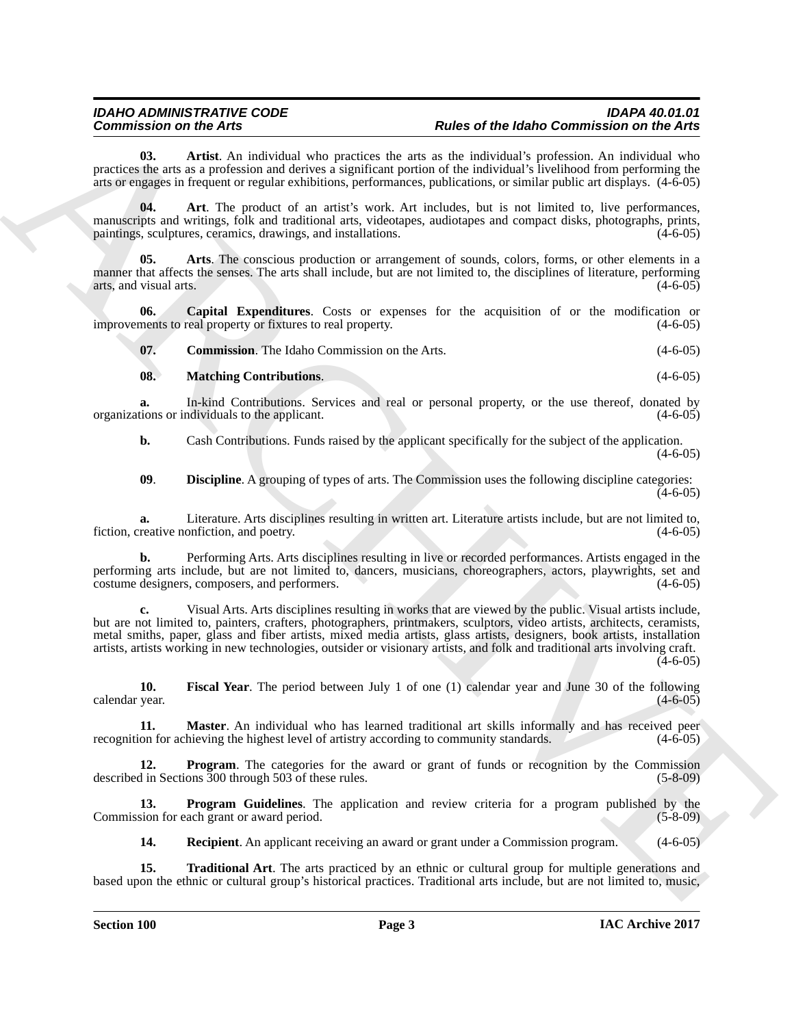<span id="page-2-1"></span>**03. Artist**. An individual who practices the arts as the individual's profession. An individual who practices the arts as a profession and derives a significant portion of the individual's livelihood from performing the arts or engages in frequent or regular exhibitions, performances, publications, or similar public art displays. (4-6-05)

<span id="page-2-0"></span>**04. Art**. The product of an artist's work. Art includes, but is not limited to, live performances, manuscripts and writings, folk and traditional arts, videotapes, audiotapes and compact disks, photographs, prints, paintings, sculptures, ceramics, drawings, and installations. paintings, sculptures, ceramics, drawings, and installations.

<span id="page-2-2"></span>**05. Arts**. The conscious production or arrangement of sounds, colors, forms, or other elements in a manner that affects the senses. The arts shall include, but are not limited to, the disciplines of literature, performing arts, and visual arts.  $(4-6-05)$ 

**06.** Capital Expenditures. Costs or expenses for the acquisition of or the modification or ments to real property or fixtures to real property.  $(4-6-05)$ improvements to real property or fixtures to real property.

<span id="page-2-4"></span><span id="page-2-3"></span>**07. Commission**. The Idaho Commission on the Arts. (4-6-05)

### <span id="page-2-8"></span>**08. Matching Contributions**. (4-6-05)

**a.** In-kind Contributions. Services and real or personal property, or the use thereof, donated by tions or individuals to the applicant. (4-6-05) organizations or individuals to the applicant.

**b.** Cash Contributions. Funds raised by the applicant specifically for the subject of the application.

 $(4-6-05)$ 

<span id="page-2-5"></span>**09**. **Discipline**. A grouping of types of arts. The Commission uses the following discipline categories:  $(4-6-05)$ 

**a.** Literature. Arts disciplines resulting in written art. Literature artists include, but are not limited to, reative nonfiction, and poetry. (4-6-05) fiction, creative nonfiction, and poetry.

**b.** Performing Arts. Arts disciplines resulting in live or recorded performances. Artists engaged in the performing arts include, but are not limited to, dancers, musicians, choreographers, actors, playwrights, set and costume designers, composers, and performers. (4-6-05)

Commission on the Artist Commission and the spin of the Hall Commission on the Artist Commission of the Archivest Commission of the European Commission of the spin of the spin of the spin of the spin of the spin of the sp **c.** Visual Arts. Arts disciplines resulting in works that are viewed by the public. Visual artists include, but are not limited to, painters, crafters, photographers, printmakers, sculptors, video artists, architects, ceramists, metal smiths, paper, glass and fiber artists, mixed media artists, glass artists, designers, book artists, installation artists, artists working in new technologies, outsider or visionary artists, and folk and traditional arts involving craft.  $(4-6-05)$ 

<span id="page-2-6"></span>**10. Fiscal Year**. The period between July 1 of one (1) calendar year and June 30 of the following calendar year. (4-6-05)

<span id="page-2-7"></span>**11. Master**. An individual who has learned traditional art skills informally and has received peer on for achieving the highest level of artistry according to community standards. (4-6-05) recognition for achieving the highest level of artistry according to community standards.

<span id="page-2-9"></span>**12. Program**. The categories for the award or grant of funds or recognition by the Commission described in Sections 300 through 503 of these rules. (5-8-09)

**13. Program Guidelines**. The application and review criteria for a program published by the Commission for each grant or award period. (5-8-09)

<span id="page-2-12"></span><span id="page-2-11"></span><span id="page-2-10"></span>**14. Recipient**. An applicant receiving an award or grant under a Commission program. (4-6-05)

**15. Traditional Art**. The arts practiced by an ethnic or cultural group for multiple generations and based upon the ethnic or cultural group's historical practices. Traditional arts include, but are not limited to, music,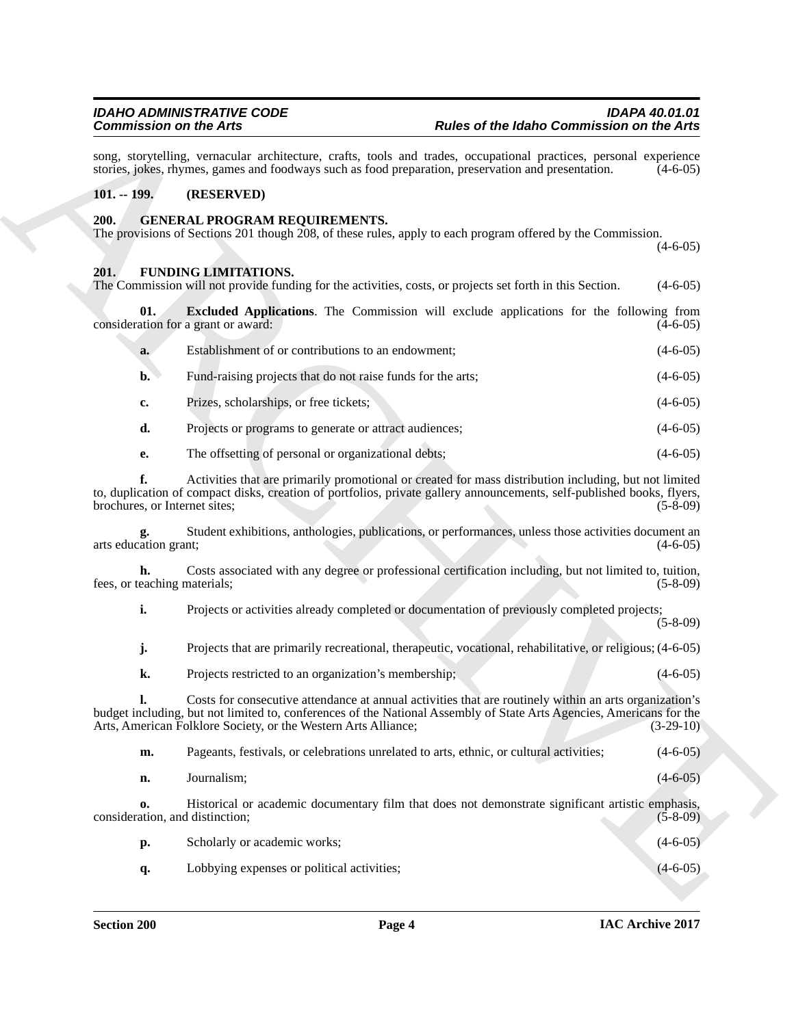### <span id="page-3-0"></span>**101. -- 199. (RESERVED)**

### <span id="page-3-1"></span>**200. GENERAL PROGRAM REQUIREMENTS.**

### <span id="page-3-4"></span><span id="page-3-3"></span><span id="page-3-2"></span>**201. FUNDING LIMITATIONS.**

|                                     | <b>Commission on the Arts</b>                                                                                                                                                                                                                                                                    | Rules of the Idaho Commission on the Arts |                              |  |
|-------------------------------------|--------------------------------------------------------------------------------------------------------------------------------------------------------------------------------------------------------------------------------------------------------------------------------------------------|-------------------------------------------|------------------------------|--|
|                                     | song, storytelling, vernacular architecture, crafts, tools and trades, occupational practices, personal experience<br>stories, jokes, rhymes, games and foodways such as food preparation, preservation and presentation.                                                                        |                                           | $(4-6-05)$                   |  |
| $101. - 199.$                       | (RESERVED)                                                                                                                                                                                                                                                                                       |                                           |                              |  |
| <b>200.</b>                         | <b>GENERAL PROGRAM REQUIREMENTS.</b><br>The provisions of Sections 201 though 208, of these rules, apply to each program offered by the Commission.                                                                                                                                              |                                           | $(4-6-05)$                   |  |
| 201.                                | <b>FUNDING LIMITATIONS.</b><br>The Commission will not provide funding for the activities, costs, or projects set forth in this Section.                                                                                                                                                         |                                           | $(4-6-05)$                   |  |
| 01.                                 | <b>Excluded Applications.</b> The Commission will exclude applications for the following from<br>consideration for a grant or award:                                                                                                                                                             |                                           | $(4-6-05)$                   |  |
| a.                                  | Establishment of or contributions to an endowment;                                                                                                                                                                                                                                               |                                           | $(4-6-05)$                   |  |
| $\mathbf{b}$ .                      | Fund-raising projects that do not raise funds for the arts;                                                                                                                                                                                                                                      |                                           | $(4-6-05)$                   |  |
| c.                                  | Prizes, scholarships, or free tickets;                                                                                                                                                                                                                                                           |                                           | $(4-6-05)$                   |  |
| d.                                  | Projects or programs to generate or attract audiences;                                                                                                                                                                                                                                           |                                           | $(4-6-05)$                   |  |
| e.                                  | The offsetting of personal or organizational debts;                                                                                                                                                                                                                                              |                                           | $(4-6-05)$                   |  |
| f.<br>brochures, or Internet sites; | Activities that are primarily promotional or created for mass distribution including, but not limited<br>to, duplication of compact disks, creation of portfolios, private gallery announcements, self-published books, flyers,                                                                  |                                           | $(5-8-09)$                   |  |
| arts education grant;               | Student exhibitions, anthologies, publications, or performances, unless those activities document an                                                                                                                                                                                             |                                           | $(4-6-05)$                   |  |
| h.<br>fees, or teaching materials;  | Costs associated with any degree or professional certification including, but not limited to, tuition,                                                                                                                                                                                           |                                           | $(5-8-09)$                   |  |
| i.                                  | Projects or activities already completed or documentation of previously completed projects;                                                                                                                                                                                                      |                                           | $(5-8-09)$                   |  |
| j.                                  | Projects that are primarily recreational, therapeutic, vocational, rehabilitative, or religious; (4-6-05)                                                                                                                                                                                        |                                           |                              |  |
| k.                                  | Projects restricted to an organization's membership;                                                                                                                                                                                                                                             |                                           | $(4-6-05)$                   |  |
|                                     | Costs for consecutive attendance at annual activities that are routinely within an arts organization's<br>budget including, but not limited to, conferences of the National Assembly of State Arts Agencies, Americans for the<br>Arts, American Folklore Society, or the Western Arts Alliance; |                                           | $(3-29-10)$                  |  |
| m.                                  | Pageants, festivals, or celebrations unrelated to arts, ethnic, or cultural activities;                                                                                                                                                                                                          |                                           | $(4-6-05)$                   |  |
|                                     | Journalism;                                                                                                                                                                                                                                                                                      |                                           | $(4 - 6 - 05)$               |  |
| n.                                  |                                                                                                                                                                                                                                                                                                  |                                           |                              |  |
| 0.                                  | Historical or academic documentary film that does not demonstrate significant artistic emphasis,<br>consideration, and distinction;                                                                                                                                                              |                                           |                              |  |
| <b>p.</b>                           | Scholarly or academic works;                                                                                                                                                                                                                                                                     |                                           | $(5 - 8 - 09)$<br>$(4-6-05)$ |  |

| m.                                    | Pageants, festivals, or celebrations unrelated to arts, ethnic, or cultural activities;          | $(4-6-05)$ |
|---------------------------------------|--------------------------------------------------------------------------------------------------|------------|
| n.                                    | Journalism;                                                                                      | $(4-6-05)$ |
| 0.<br>consideration, and distinction; | Historical or academic documentary film that does not demonstrate significant artistic emphasis, | $(5-8-09)$ |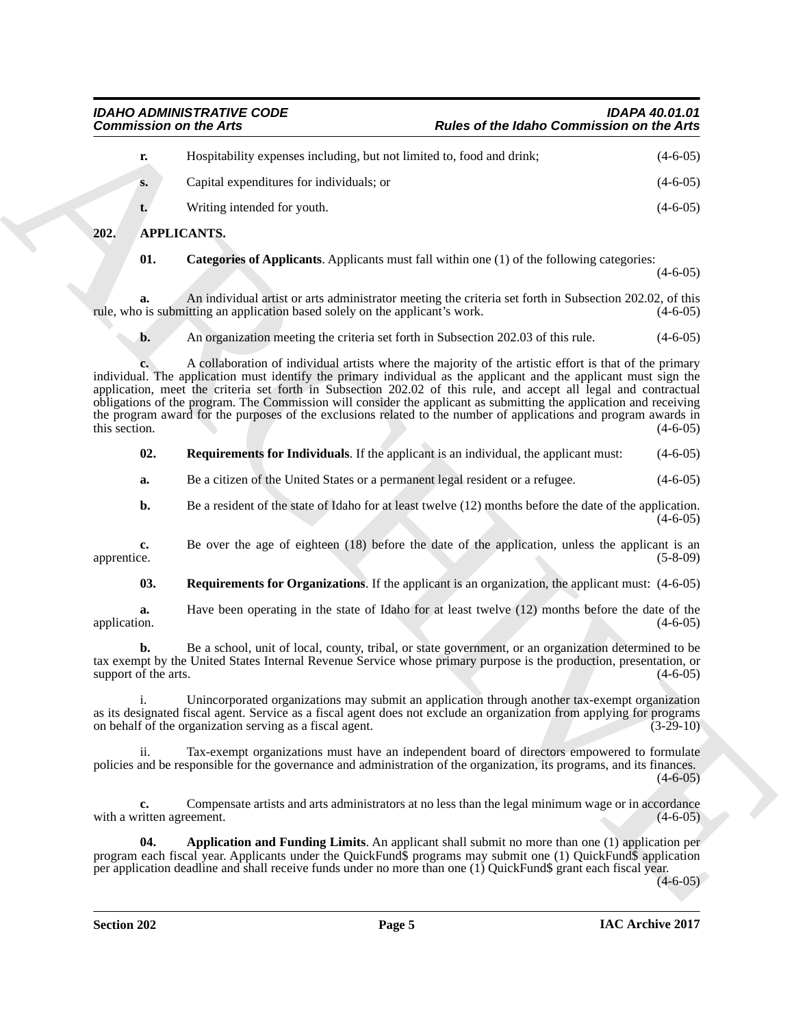| r.            | Hospitability expenses including, but not limited to, food and drink; | $(4-6-05)$ |
|---------------|-----------------------------------------------------------------------|------------|
| $S_{\bullet}$ | Capital expenditures for individuals; or                              | $(4-6-05)$ |
|               | Writing intended for youth.                                           | $(4-6-05)$ |

### <span id="page-4-0"></span>**202. APPLICANTS.**

<span id="page-4-3"></span><span id="page-4-1"></span>**01. Categories of Applicants**. Applicants must fall within one (1) of the following categories:

 $(4-6-05)$ 

**a.** An individual artist or arts administrator meeting the criteria set forth in Subsection 202.02, of this is submitting an application based solely on the applicant's work. rule, who is submitting an application based solely on the applicant's work.

**b.** An organization meeting the criteria set forth in Subsection 202.03 of this rule. (4-6-05)

**Commission on the Arts \*\*\*\*\***<br> **Padre of the fabric Commission on the Arts \*\*\*\***<br>
A the computation control intervalse the numerical state of the state of the state<br>
Copyright experiments for increasing the numerical sta **c.** A collaboration of individual artists where the majority of the artistic effort is that of the primary individual. The application must identify the primary individual as the applicant and the applicant must sign the application, meet the criteria set forth in Subsection 202.02 of this rule, and accept all legal and contractual obligations of the program. The Commission will consider the applicant as submitting the application and receiving the program award for the purposes of the exclusions related to the number of applications and program awards in this section. (4-6-05) this section.  $(4-6-05)$ 

<span id="page-4-4"></span>

| 02. | <b>Requirements for Individuals.</b> If the applicant is an individual, the applicant must: |  |  |  |  | $(4-6-05)$ |
|-----|---------------------------------------------------------------------------------------------|--|--|--|--|------------|
|-----|---------------------------------------------------------------------------------------------|--|--|--|--|------------|

**a.** Be a citizen of the United States or a permanent legal resident or a refugee.  $(4-6-05)$ 

**b.** Be a resident of the state of Idaho for at least twelve (12) months before the date of the application.  $(4-6-05)$ 

**c.** Be over the age of eighteen (18) before the date of the application, unless the applicant is an apprentice. (5-8-09) apprentice. (5-8-09)

<span id="page-4-5"></span>**03. Requirements for Organizations**. If the applicant is an organization, the applicant must: (4-6-05)

**a.** Have been operating in the state of Idaho for at least twelve (12) months before the date of the application.  $(4-6-05)$ application. (4-6-05)

**b.** Be a school, unit of local, county, tribal, or state government, or an organization determined to be tax exempt by the United States Internal Revenue Service whose primary purpose is the production, presentation, or support of the arts.  $(4-6-05)$ 

i. Unincorporated organizations may submit an application through another tax-exempt organization as its designated fiscal agent. Service as a fiscal agent does not exclude an organization from applying for programs<br>on behalf of the organization serving as a fiscal agent. (3-29-10) on behalf of the organization serving as a fiscal agent.

ii. Tax-exempt organizations must have an independent board of directors empowered to formulate policies and be responsible for the governance and administration of the organization, its programs, and its finances.  $(4-6-05)$ 

**c.** Compensate artists and arts administrators at no less than the legal minimum wage or in accordance with a written agreement. (4-6-05)

<span id="page-4-2"></span>**04.** Application and Funding Limits. An applicant shall submit no more than one (1) application per program each fiscal year. Applicants under the QuickFund\$ programs may submit one (1) QuickFund\$ application per application deadline and shall receive funds under no more than one (1) QuickFund\$ grant each fiscal year.

 $(4-6-05)$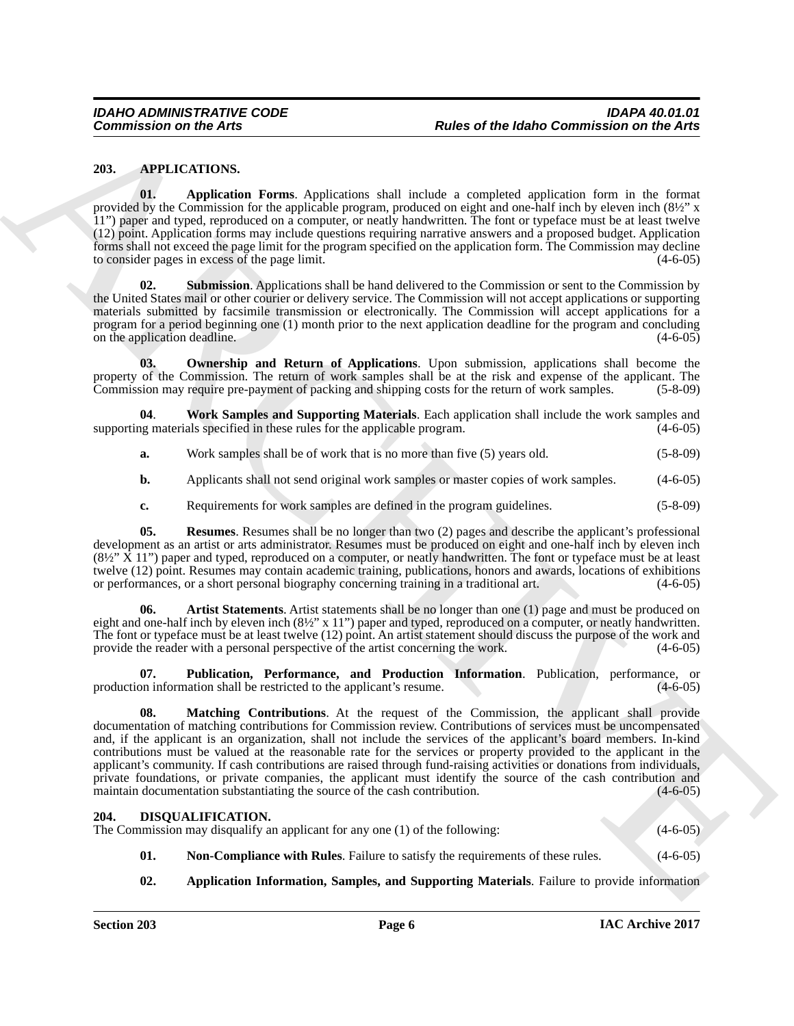### <span id="page-5-2"></span><span id="page-5-0"></span>**203. APPLICATIONS.**

<span id="page-5-3"></span>**01. Application Forms**. Applications shall include a completed application form in the format provided by the Commission for the applicable program, produced on eight and one-half inch by eleven inch (8½" x 11") paper and typed, reproduced on a computer, or neatly handwritten. The font or typeface must be at least twelve (12) point. Application forms may include questions requiring narrative answers and a proposed budget. Application forms shall not exceed the page limit for the program specified on the application form. The Commission may decline to consider pages in excess of the page limit. (4-6-05)

<span id="page-5-9"></span>**02. Submission**. Applications shall be hand delivered to the Commission or sent to the Commission by the United States mail or other courier or delivery service. The Commission will not accept applications or supporting materials submitted by facsimile transmission or electronically. The Commission will accept applications for a program for a period beginning one (1) month prior to the next application deadline for the program and concluding on the application deadline. (4-6-05)

<span id="page-5-6"></span>**03. Ownership and Return of Applications**. Upon submission, applications shall become the property of the Commission. The return of work samples shall be at the risk and expense of the applicant. The Commission may require pre-payment of packing and shipping costs for the return of work samples. (5-8-09)

**04**. **Work Samples and Supporting Materials**. Each application shall include the work samples and supporting materials specified in these rules for the applicable program.

- <span id="page-5-10"></span>**a.** Work samples shall be of work that is no more than five (5) years old. (5-8-09)
- **b.** Applicants shall not send original work samples or master copies of work samples. (4-6-05)
- <span id="page-5-8"></span>**c.** Requirements for work samples are defined in the program guidelines. (5-8-09)

**05. Resumes**. Resumes shall be no longer than two (2) pages and describe the applicant's professional development as an artist or arts administrator. Resumes must be produced on eight and one-half inch by eleven inch  $(8\frac{1}{2}$ " X 11") paper and typed, reproduced on a computer, or neatly handwritten. The font or typeface must be at least twelve (12) point. Resumes may contain academic training, publications, honors and awards, locations of exhibitions or performances, or a short personal biography concerning training in a traditional art. (4-6-05)

<span id="page-5-4"></span>**06. Artist Statements**. Artist statements shall be no longer than one (1) page and must be produced on eight and one-half inch by eleven inch (8½" x 11") paper and typed, reproduced on a computer, or neatly handwritten. The font or typeface must be at least twelve (12) point. An artist statement should discuss the purpose of the work and provide the reader with a personal perspective of the artist concerning the work. (4-6-05)

<span id="page-5-7"></span><span id="page-5-5"></span>**07. Publication, Performance, and Production Information**. Publication, performance, or production information shall be restricted to the applicant's resume. (4-6-05)

**Commission on the Arts<br>
2013.** Application Remain Architectics dual inside a completed inside the final commission on the Arts<br>
2013. Application Final Architectics dual inside a complete station line in the Commission<br> **08. Matching Contributions**. At the request of the Commission, the applicant shall provide documentation of matching contributions for Commission review. Contributions of services must be uncompensated and, if the applicant is an organization, shall not include the services of the applicant's board members. In-kind contributions must be valued at the reasonable rate for the services or property provided to the applicant in the applicant's community. If cash contributions are raised through fund-raising activities or donations from individuals, private foundations, or private companies, the applicant must identify the source of the cash contribution and maintain documentation substantiating the source of the cash contribution. (4-6-05)  $m$  maintain documentation substantiating the source of the cash contribution.

### <span id="page-5-11"></span><span id="page-5-1"></span>**204. DISQUALIFICATION.**

The Commission may disqualify an applicant for any one (1) of the following:  $(4-6-05)$ 

- <span id="page-5-13"></span>**01.** Non-Compliance with Rules. Failure to satisfy the requirements of these rules. (4-6-05)
- <span id="page-5-12"></span>**02.** Application Information, Samples, and Supporting Materials. Failure to provide information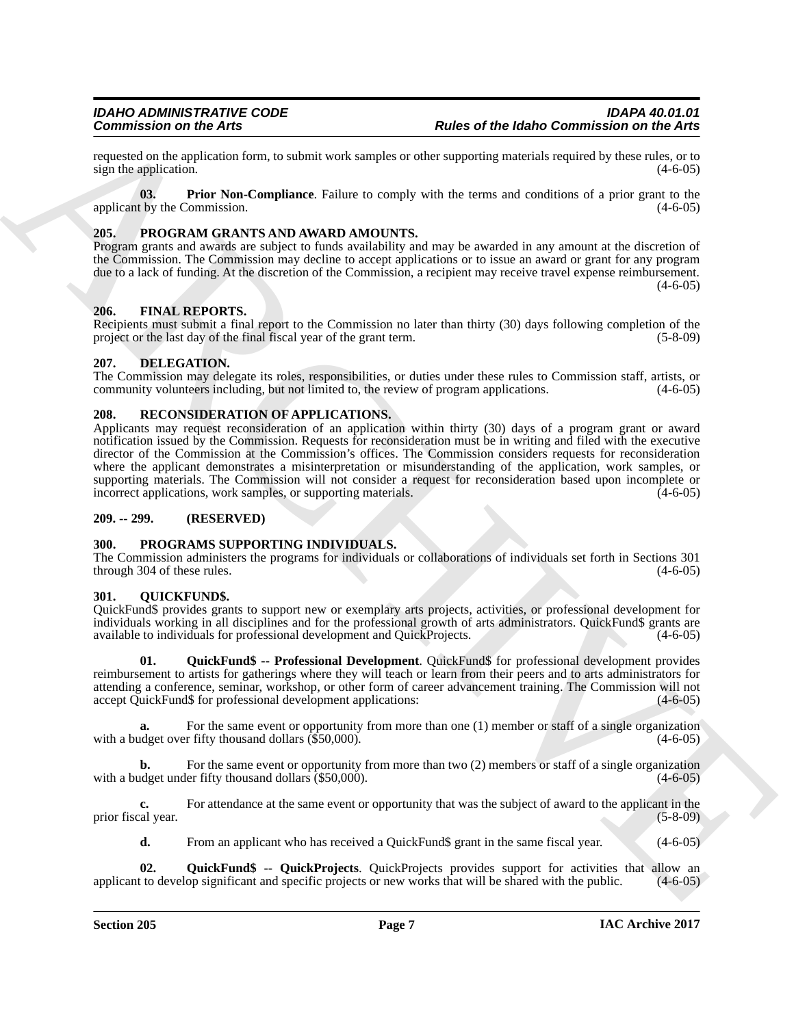requested on the application form, to submit work samples or other supporting materials required by these rules, or to sign the application. (4-6-05) sign the application.

<span id="page-6-7"></span>**03. Prior Non-Compliance**. Failure to comply with the terms and conditions of a prior grant to the applicant by the Commission.  $(4-6-05)$ 

### <span id="page-6-8"></span><span id="page-6-0"></span>**205. PROGRAM GRANTS AND AWARD AMOUNTS.**

Program grants and awards are subject to funds availability and may be awarded in any amount at the discretion of the Commission. The Commission may decline to accept applications or to issue an award or grant for any program due to a lack of funding. At the discretion of the Commission, a recipient may receive travel expense reimbursement.  $(4-6-05)$ 

### <span id="page-6-1"></span>**206. FINAL REPORTS.**

Recipients must submit a final report to the Commission no later than thirty (30) days following completion of the project or the last day of the final fiscal year of the grant term. (5-8-09)

### <span id="page-6-2"></span>**207. DELEGATION.**

The Commission may delegate its roles, responsibilities, or duties under these rules to Commission staff, artists, or community volunteers including, but not limited to, the review of program applications. (4-6-05)

### <span id="page-6-3"></span>**208. RECONSIDERATION OF APPLICATIONS.**

Commission on the Arts <sup>2</sup> and the shell well aggregate and the based commission on the Arts and the state of the state commission on the Arts<br>
20. application of the Sun Complete College of the state commission register Applicants may request reconsideration of an application within thirty (30) days of a program grant or award notification issued by the Commission. Requests for reconsideration must be in writing and filed with the executive director of the Commission at the Commission's offices. The Commission considers requests for reconsideration where the applicant demonstrates a misinterpretation or misunderstanding of the application, work samples, or supporting materials. The Commission will not consider a request for reconsideration based upon incomplete or incorrect applications, work samples, or supporting materials. (4-6-05) incorrect applications, work samples, or supporting materials.

### <span id="page-6-4"></span>**209. -- 299. (RESERVED)**

### <span id="page-6-9"></span><span id="page-6-5"></span>**300. PROGRAMS SUPPORTING INDIVIDUALS.**

The Commission administers the programs for individuals or collaborations of individuals set forth in Sections 301 through 304 of these rules.

### <span id="page-6-10"></span><span id="page-6-6"></span>**301. QUICKFUND\$.**

QuickFund\$ provides grants to support new or exemplary arts projects, activities, or professional development for individuals working in all disciplines and for the professional growth of arts administrators. QuickFund\$ grants are available to individuals for professional development and QuickProjects. (4-6-05)

<span id="page-6-11"></span>**01. QuickFund\$ -- Professional Development**. QuickFund\$ for professional development provides reimbursement to artists for gatherings where they will teach or learn from their peers and to arts administrators for attending a conference, seminar, workshop, or other form of career advancement training. The Commission will not accept QuickFund\$ for professional development applications: (4-6-05)

**a.** For the same event or opportunity from more than one (1) member or staff of a single organization det over fifty thousand dollars (\$50.000). (4-6-05) with a budget over fifty thousand dollars  $(\$50,000)$ .

For the same event or opportunity from more than two (2) members or staff of a single organization with a budget under fifty thousand dollars  $(850,000)$ . (4-6-05)

**c.** For attendance at the same event or opportunity that was the subject of award to the applicant in the prior fiscal year. (5-8-09)

<span id="page-6-12"></span>**d.** From an applicant who has received a QuickFund\$ grant in the same fiscal year. (4-6-05)

**02.** QuickFund\$ -- QuickProjects. QuickProjects provides support for activities that allow an to develop significant and specific projects or new works that will be shared with the public. (4-6-05) applicant to develop significant and specific projects or new works that will be shared with the public.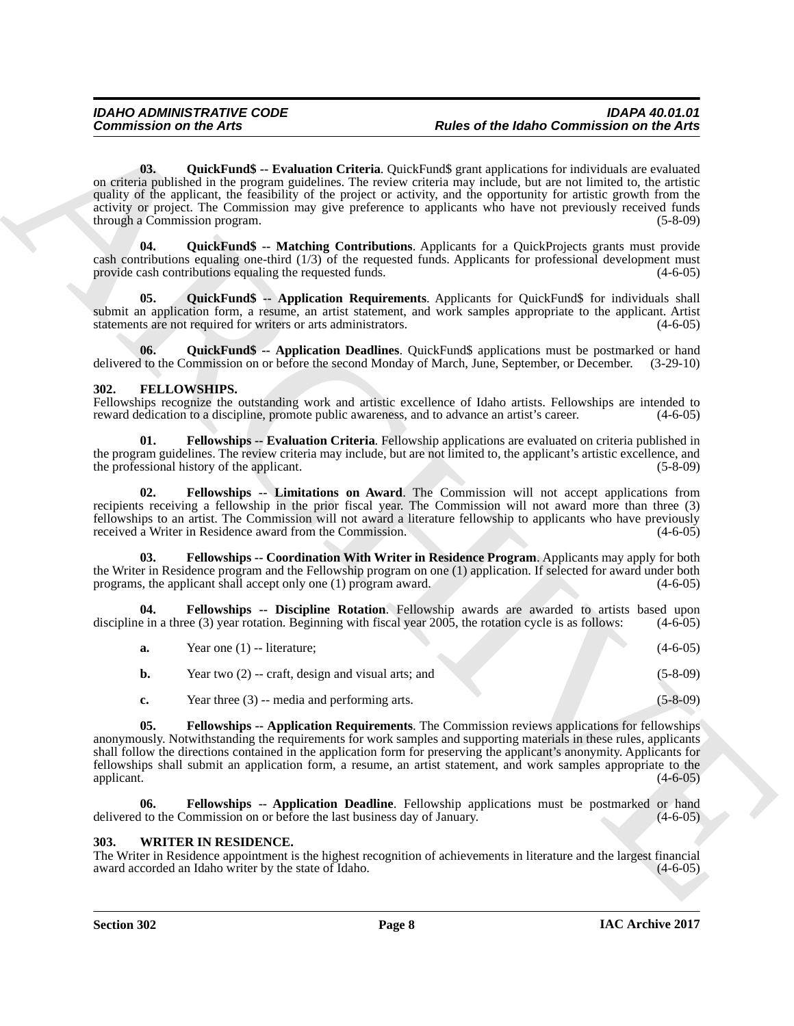Commission on the Arts<br>
Online of the Idahe Commission on the Arts<br>
(b), (b)-d), then the Arts<br>
(c) (b)-d), the Archivest of the Islands Celerin Coloring and policinal activity and policinal activity and policinal activit **03. QuickFund\$ -- Evaluation Criteria**. QuickFund\$ grant applications for individuals are evaluated on criteria published in the program guidelines. The review criteria may include, but are not limited to, the artistic quality of the applicant, the feasibility of the project or activity, and the opportunity for artistic growth from the activity or project. The Commission may give preference to applicants who have not previously received funds through a Commission program. (5-8-09)

<span id="page-7-12"></span><span id="page-7-11"></span>**04. QuickFund\$ -- Matching Contributions**. Applicants for a QuickProjects grants must provide cash contributions equaling one-third (1/3) of the requested funds. Applicants for professional development must provide cash contributions equaling the requested funds. (4-6-05) (4-6-05)

<span id="page-7-10"></span>**05. QuickFund\$ -- Application Requirements**. Applicants for QuickFund\$ for individuals shall submit an application form, a resume, an artist statement, and work samples appropriate to the applicant. Artist statements are not required for writers or arts administrators. (4-6-05)

<span id="page-7-9"></span>**06. QuickFund\$ -- Application Deadlines**. QuickFund\$ applications must be postmarked or hand if to the Commission on or before the second Monday of March, June, September, or December. (3-29-10) delivered to the Commission on or before the second Monday of March, June, September, or December.

### <span id="page-7-2"></span><span id="page-7-0"></span>**302. FELLOWSHIPS.**

Fellowships recognize the outstanding work and artistic excellence of Idaho artists. Fellowships are intended to reward dedication to a discipline, promote public awareness, and to advance an artist's career. (4-6-05) reward dedication to a discipline, promote public awareness, and to advance an artist's career.

<span id="page-7-7"></span>**01. Fellowships -- Evaluation Criteria**. Fellowship applications are evaluated on criteria published in the program guidelines. The review criteria may include, but are not limited to, the applicant's artistic excellence, and the professional history of the applicant. (5-8-09) (5-8-09)

<span id="page-7-8"></span>**02. Fellowships -- Limitations on Award**. The Commission will not accept applications from recipients receiving a fellowship in the prior fiscal year. The Commission will not award more than three (3) fellowships to an artist. The Commission will not award a literature fellowship to applicants who have previously received a Writer in Residence award from the Commission. (4-6-05)

**03. Fellowships -- Coordination With Writer in Residence Program**. Applicants may apply for both the Writer in Residence program and the Fellowship program on one (1) application. If selected for award under both programs, the applicant shall accept only one (1) program award. (4-6-05) programs, the applicant shall accept only one  $(1)$  program award.

**04. Fellowships -- Discipline Rotation**. Fellowship awards are awarded to artists based upon discipline in a three (3) year rotation. Beginning with fiscal year 2005, the rotation cycle is as follows: (4-6-05)

<span id="page-7-6"></span><span id="page-7-5"></span><span id="page-7-4"></span>

| a.            | Year one $(1)$ -- literature;                        | $(4-6-05)$ |
|---------------|------------------------------------------------------|------------|
| b.            | Year two $(2)$ -- craft, design and visual arts; and | $(5-8-09)$ |
| $c_{\bullet}$ | Year three $(3)$ -- media and performing arts.       | $(5-8-09)$ |

**05. Fellowships -- Application Requirements**. The Commission reviews applications for fellowships anonymously. Notwithstanding the requirements for work samples and supporting materials in these rules, applicants shall follow the directions contained in the application form for preserving the applicant's anonymity. Applicants for fellowships shall submit an application form, a resume, an artist statement, and work samples appropriate to the applicant. (4-6-05)

<span id="page-7-3"></span>**06. Fellowships -- Application Deadline**. Fellowship applications must be postmarked or hand delivered to the Commission on or before the last business day of January. (4-6-05)

### <span id="page-7-13"></span><span id="page-7-1"></span>**303. WRITER IN RESIDENCE.**

The Writer in Residence appointment is the highest recognition of achievements in literature and the largest financial award accorded an Idaho writer by the state of Idaho.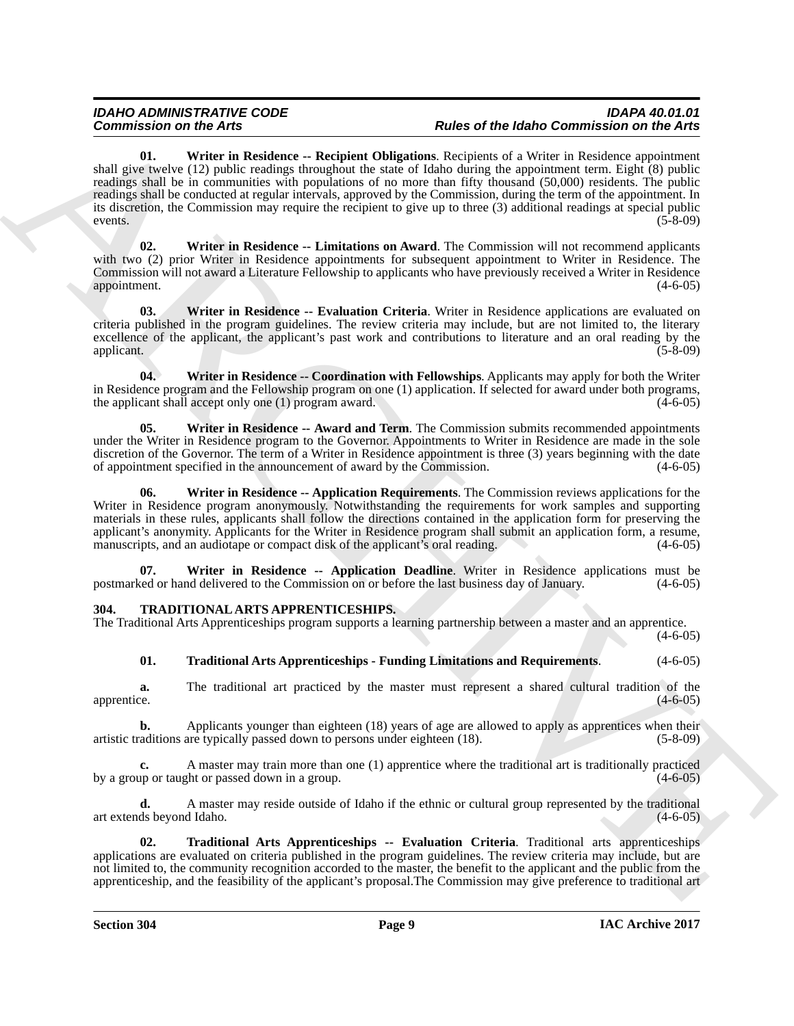Commission on Advise to the spin-of the field Commission on Eq. (a) and the control of the figure of the figure of the figure of the figure of the spin-of the spin-of the spin-of the spin-of the spin-of the spin-of the sp **01. Writer in Residence -- Recipient Obligations**. Recipients of a Writer in Residence appointment shall give twelve (12) public readings throughout the state of Idaho during the appointment term. Eight (8) public readings shall be in communities with populations of no more than fifty thousand (50,000) residents. The public readings shall be conducted at regular intervals, approved by the Commission, during the term of the appointment. In its discretion, the Commission may require the recipient to give up to three (3) additional readings at special public events. (5-8-09)

<span id="page-8-10"></span><span id="page-8-9"></span>**02. Writer in Residence -- Limitations on Award**. The Commission will not recommend applicants with two (2) prior Writer in Residence appointments for subsequent appointment to Writer in Residence. The Commission will not award a Literature Fellowship to applicants who have previously received a Writer in Residence appointment. (4-6-05)

<span id="page-8-8"></span>**03. Writer in Residence -- Evaluation Criteria**. Writer in Residence applications are evaluated on criteria published in the program guidelines. The review criteria may include, but are not limited to, the literary excellence of the applicant, the applicant's past work and contributions to literature and an oral reading by the applicant. (5-8-09) applicant. (5-8-09)

<span id="page-8-7"></span>**04. Writer in Residence -- Coordination with Fellowships**. Applicants may apply for both the Writer in Residence program and the Fellowship program on one (1) application. If selected for award under both programs, the applicant shall accept only one (1) program award. (4-6-05)

<span id="page-8-6"></span>**05. Writer in Residence -- Award and Term**. The Commission submits recommended appointments under the Writer in Residence program to the Governor. Appointments to Writer in Residence are made in the sole discretion of the Governor. The term of a Writer in Residence appointment is three (3) years beginning with the date of appointment specified in the announcement of award by the Commission. (4-6-05)

<span id="page-8-5"></span>**06. Writer in Residence -- Application Requirements**. The Commission reviews applications for the Writer in Residence program anonymously. Notwithstanding the requirements for work samples and supporting materials in these rules, applicants shall follow the directions contained in the application form for preserving the applicant's anonymity. Applicants for the Writer in Residence program shall submit an application form, a resume, manuscripts, and an audiotape or compact disk of the applicant's oral reading. (4-6-05) manuscripts, and an audiotape or compact disk of the applicant's oral reading.

**07. Writer in Residence -- Application Deadline**. Writer in Residence applications must be postmarked or hand delivered to the Commission on or before the last business day of January. (4-6-05)

### <span id="page-8-1"></span><span id="page-8-0"></span>**304. TRADITIONAL ARTS APPRENTICESHIPS.**

The Traditional Arts Apprenticeships program supports a learning partnership between a master and an apprentice.  $(4-6-05)$ 

### <span id="page-8-4"></span><span id="page-8-3"></span>**01. Traditional Arts Apprenticeships - Funding Limitations and Requirements**. (4-6-05)

**a.** The traditional art practiced by the master must represent a shared cultural tradition of the apprentice. (4-6-05)

**b.** Applicants younger than eighteen (18) years of age are allowed to apply as apprentices when their raditions are typically passed down to persons under eighteen (18). (5-8-09) artistic traditions are typically passed down to persons under eighteen (18).

**c.** A master may train more than one (1) apprentice where the traditional art is traditionally practiced by a group or taught or passed down in a group. (4-6-05)

**d.** A master may reside outside of Idaho if the ethnic or cultural group represented by the traditional art extends beyond Idaho. (4-6-05)

<span id="page-8-2"></span>**02. Traditional Arts Apprenticeships -- Evaluation Criteria**. Traditional arts apprenticeships applications are evaluated on criteria published in the program guidelines. The review criteria may include, but are not limited to, the community recognition accorded to the master, the benefit to the applicant and the public from the apprenticeship, and the feasibility of the applicant's proposal.The Commission may give preference to traditional art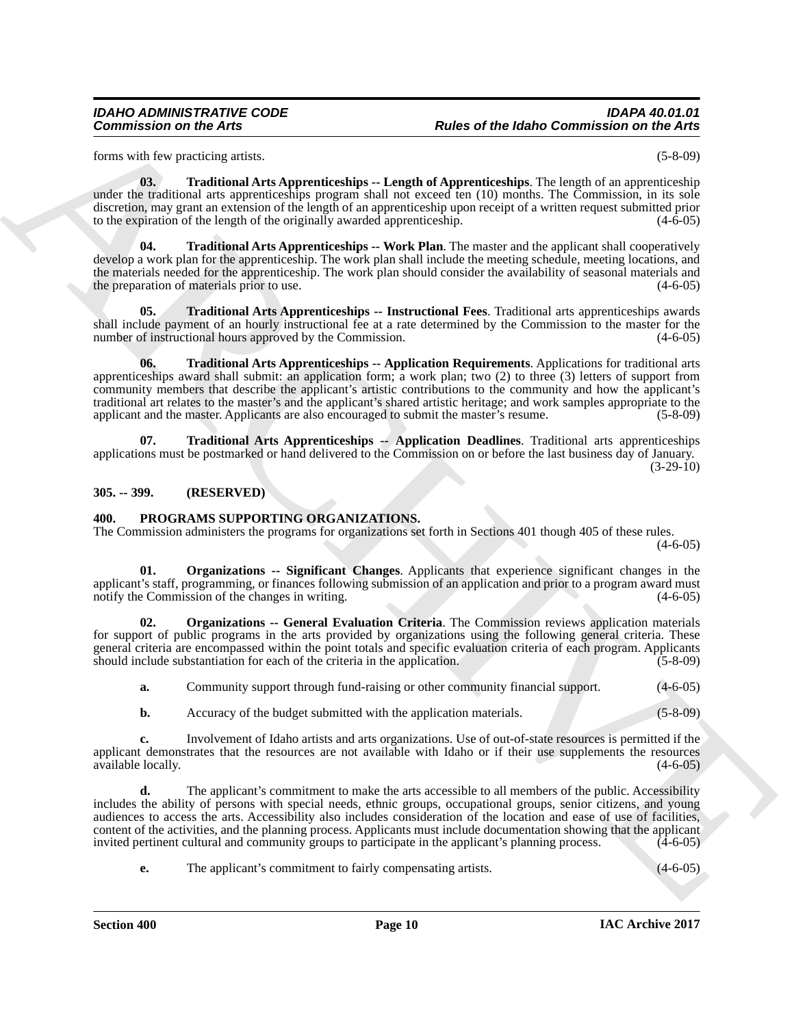forms with few practicing artists. (5-8-09)

<span id="page-9-9"></span><span id="page-9-8"></span>

**03. Traditional Arts Apprenticeships -- Length of Apprenticeships**. The length of an apprenticeship under the traditional arts apprenticeships program shall not exceed ten (10) months. The Commission, in its sole discretion, may grant an extension of the length of an apprenticeship upon receipt of a written request submitted prior to the expiration of the length of the originally awarded apprenticeship. (4-6-05)

**Traditional Arts Apprenticeships -- Work Plan**. The master and the applicant shall cooperatively develop a work plan for the apprenticeship. The work plan shall include the meeting schedule, meeting locations, and the materials needed for the apprenticeship. The work plan should consider the availability of seasonal materials and the preparation of materials prior to use. (4-6-05) the preparation of materials prior to use.

<span id="page-9-7"></span><span id="page-9-6"></span>**05. Traditional Arts Apprenticeships -- Instructional Fees**. Traditional arts apprenticeships awards shall include payment of an hourly instructional fee at a rate determined by the Commission to the master for the number of instructional hours approved by the Commission. (4-6-05) (4-6-05)

Commission can die Arts<br>
kenn <sup>2</sup>nd as <sup>2</sup>nd as *R* and<br>
kenn <sup>21</sup>nd as <sup>2</sup>nd as *A*ngere Boston Commission in the Architecture Commission in the Architecture Commission and the Architecture Commission and the Commission **06. Traditional Arts Apprenticeships -- Application Requirements**. Applications for traditional arts apprenticeships award shall submit: an application form; a work plan; two (2) to three (3) letters of support from community members that describe the applicant's artistic contributions to the community and how the applicant's traditional art relates to the master's and the applicant's shared artistic heritage; and work samples appropriate to the applicant and the master. Applicants are also encouraged to submit the master's resume. (5-8-09) applicant and the master. Applicants are also encouraged to submit the master's resume.

**07. Traditional Arts Apprenticeships -- Application Deadlines**. Traditional arts apprenticeships applications must be postmarked or hand delivered to the Commission on or before the last business day of January.  $(3-29-10)$ 

<span id="page-9-0"></span>**305. -- 399. (RESERVED)**

### <span id="page-9-2"></span><span id="page-9-1"></span>**400. PROGRAMS SUPPORTING ORGANIZATIONS.**

The Commission administers the programs for organizations set forth in Sections 401 though 405 of these rules.

<span id="page-9-5"></span> $(4-6-05)$ 

<span id="page-9-4"></span>**01. Organizations -- Significant Changes**. Applicants that experience significant changes in the applicant's staff, programming, or finances following submission of an application and prior to a program award must notify the Commission of the changes in writing. (4-6-05) notify the Commission of the changes in writing.

**Organizations -- General Evaluation Criteria**. The Commission reviews application materials for support of public programs in the arts provided by organizations using the following general criteria. These general criteria are encompassed within the point totals and specific evaluation criteria of each program. Applicants should include substantiation for each of the criteria in the application. (5-8-09) should include substantiation for each of the criteria in the application.

<span id="page-9-3"></span>**a.** Community support through fund-raising or other community financial support.  $(4-6-05)$ 

**b.** Accuracy of the budget submitted with the application materials. (5-8-09)

**c.** Involvement of Idaho artists and arts organizations. Use of out-of-state resources is permitted if the applicant demonstrates that the resources are not available with Idaho or if their use supplements the resources available locally. (4-6-05)

**d.** The applicant's commitment to make the arts accessible to all members of the public. Accessibility includes the ability of persons with special needs, ethnic groups, occupational groups, senior citizens, and young audiences to access the arts. Accessibility also includes consideration of the location and ease of use of facilities, content of the activities, and the planning process. Applicants must include documentation showing that the applicant invited pertinent cultural and community groups to participate in the applicant's planning process. (4-6-05)

**e.** The applicant's commitment to fairly compensating artists. (4-6-05)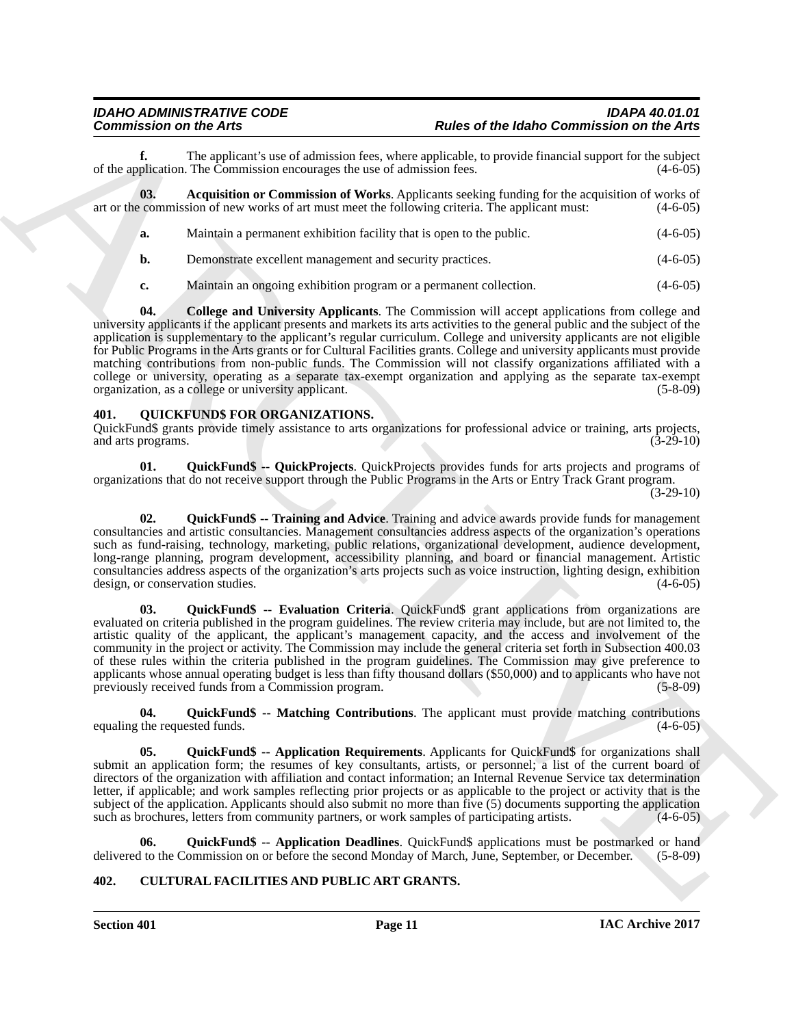**f.** The applicant's use of admission fees, where applicable, to provide financial support for the subject plication. The Commission encourages the use of admission fees. (4-6-05) of the application. The Commission encourages the use of admission fees.

**03. Acquisition or Commission of Works**. Applicants seeking funding for the acquisition of works of art or the commission of new works of art must meet the following criteria. The applicant must: (4-6-05)

- <span id="page-10-7"></span>**a.** Maintain a permanent exhibition facility that is open to the public. (4-6-05)
	- **b.** Demonstrate excellent management and security practices. (4-6-05)

<span id="page-10-8"></span>**c.** Maintain an ongoing exhibition program or a permanent collection. (4-6-05)

**Commission on the Arts 19.**<br> **Commission on the systems** was calculated to  $\sim$  by and of the fight Commission on the Arts<br>
of the systems was calculated to the systems was mainly facilitated in the systems of the system **04. College and University Applicants**. The Commission will accept applications from college and university applicants if the applicant presents and markets its arts activities to the general public and the subject of the application is supplementary to the applicant's regular curriculum. College and university applicants are not eligible for Public Programs in the Arts grants or for Cultural Facilities grants. College and university applicants must provide matching contributions from non-public funds. The Commission will not classify organizations affiliated with a college or university, operating as a separate tax-exempt organization and applying as the separate tax-exempt organization, as a college or university applicant. (5-8-09)

### <span id="page-10-9"></span><span id="page-10-0"></span>**401. QUICKFUND\$ FOR ORGANIZATIONS.**

QuickFund\$ grants provide timely assistance to arts organizations for professional advice or training, arts projects, and arts programs.

<span id="page-10-10"></span>**01. QuickFund\$ -- QuickProjects**. QuickProjects provides funds for arts projects and programs of organizations that do not receive support through the Public Programs in the Arts or Entry Track Grant program.

(3-29-10)

<span id="page-10-11"></span>**02. QuickFund\$ -- Training and Advice**. Training and advice awards provide funds for management consultancies and artistic consultancies. Management consultancies address aspects of the organization's operations such as fund-raising, technology, marketing, public relations, organizational development, audience development, long-range planning, program development, accessibility planning, and board or financial management. Artistic consultancies address aspects of the organization's arts projects such as voice instruction, lighting design, exhibition design, or conservation studies. (4-6-05)

<span id="page-10-5"></span>03. QuickFund\$ -- Evaluation Criteria. QuickFund\$ grant applications from organizations are evaluated on criteria published in the program guidelines. The review criteria may include, but are not limited to, the artistic quality of the applicant, the applicant's management capacity, and the access and involvement of the community in the project or activity. The Commission may include the general criteria set forth in Subsection 400.03 of these rules within the criteria published in the program guidelines. The Commission may give preference to applicants whose annual operating budget is less than fifty thousand dollars (\$50,000) and to applicants who have not previously received funds from a Commission program. (5-8-09)

<span id="page-10-6"></span>**04. QuickFund\$ -- Matching Contributions**. The applicant must provide matching contributions equaling the requested funds.

<span id="page-10-3"></span>**05. QuickFund\$ -- Application Requirements**. Applicants for QuickFund\$ for organizations shall submit an application form; the resumes of key consultants, artists, or personnel; a list of the current board of directors of the organization with affiliation and contact information; an Internal Revenue Service tax determination letter, if applicable; and work samples reflecting prior projects or as applicable to the project or activity that is the subject of the application. Applicants should also submit no more than five (5) documents supporting the application such as brochures, letters from community partners, or work samples of participating artists. (4-6-05)

<span id="page-10-2"></span>**06. QuickFund\$ -- Application Deadlines**. QuickFund\$ applications must be postmarked or hand delivered to the Commission on or before the second Monday of March, June, September, or December. (5-8-09)

### <span id="page-10-4"></span><span id="page-10-1"></span>**402. CULTURAL FACILITIES AND PUBLIC ART GRANTS.**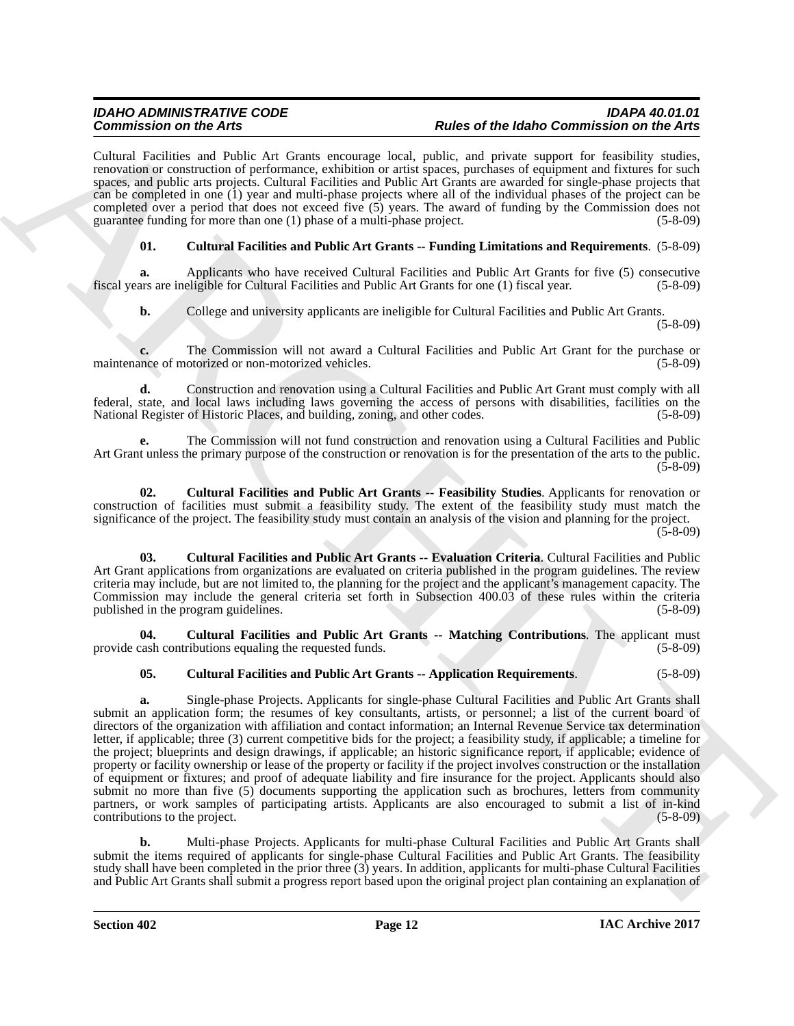Cultural Facilities and Public Art Grants encourage local, public, and private support for feasibility studies, renovation or construction of performance, exhibition or artist spaces, purchases of equipment and fixtures for such spaces, and public arts projects. Cultural Facilities and Public Art Grants are awarded for single-phase projects that can be completed in one (1) year and multi-phase projects where all of the individual phases of the project can be completed over a period that does not exceed five (5) years. The award of funding by the Commission does not guarantee funding for more than one (1) phase of a multi-phase project. (5-8-09)

### **01. Cultural Facilities and Public Art Grants -- Funding Limitations and Requirements**. (5-8-09)

Applicants who have received Cultural Facilities and Public Art Grants for five (5) consecutive eligible for Cultural Facilities and Public Art Grants for one (1) fiscal year. (5-8-09) fiscal years are ineligible for Cultural Facilities and Public Art Grants for one (1) fiscal year.

**b.** College and university applicants are ineligible for Cultural Facilities and Public Art Grants.

<span id="page-11-3"></span><span id="page-11-2"></span><span id="page-11-1"></span>(5-8-09)

**c.** The Commission will not award a Cultural Facilities and Public Art Grant for the purchase or none-motorized vehicles. (5-8-09) maintenance of motorized or non-motorized vehicles.

**d.** Construction and renovation using a Cultural Facilities and Public Art Grant must comply with all federal, state, and local laws including laws governing the access of persons with disabilities, facilities on the National Register of Historic Places, and building, zoning, and other codes.

**e.** The Commission will not fund construction and renovation using a Cultural Facilities and Public Art Grant unless the primary purpose of the construction or renovation is for the presentation of the arts to the public. (5-8-09)

**02. Cultural Facilities and Public Art Grants -- Feasibility Studies**. Applicants for renovation or construction of facilities must submit a feasibility study. The extent of the feasibility study must match the significance of the project. The feasibility study must contain an analysis of the vision and planning for the project. (5-8-09)

**03. Cultural Facilities and Public Art Grants -- Evaluation Criteria**. Cultural Facilities and Public Art Grant applications from organizations are evaluated on criteria published in the program guidelines. The review criteria may include, but are not limited to, the planning for the project and the applicant's management capacity. The Commission may include the general criteria set forth in Subsection 400.03 of these rules within the criteria published in the program guidelines. (5-8-09)

**04. Cultural Facilities and Public Art Grants -- Matching Contributions**. The applicant must provide cash contributions equaling the requested funds. (5-8-09)

### <span id="page-11-4"></span><span id="page-11-0"></span>**05. Cultural Facilities and Public Art Grants -- Application Requirements**. (5-8-09)

Commission on the Art Street Commission and politics and Define Ontertuing Research in the Art Street Commission on the Art Street Commission of the Art Street Commission of the Art Street Commission of the Art Street Com **a.** Single-phase Projects. Applicants for single-phase Cultural Facilities and Public Art Grants shall submit an application form; the resumes of key consultants, artists, or personnel; a list of the current board of directors of the organization with affiliation and contact information; an Internal Revenue Service tax determination letter, if applicable; three (3) current competitive bids for the project; a feasibility study, if applicable; a timeline for the project; blueprints and design drawings, if applicable; an historic significance report, if applicable; evidence of property or facility ownership or lease of the property or facility if the project involves construction or the installation of equipment or fixtures; and proof of adequate liability and fire insurance for the project. Applicants should also submit no more than five (5) documents supporting the application such as brochures, letters from community partners, or work samples of participating artists. Applicants are also encouraged to submit a list of in-kind contributions to the project. (5-8-09)

**b.** Multi-phase Projects. Applicants for multi-phase Cultural Facilities and Public Art Grants shall submit the items required of applicants for single-phase Cultural Facilities and Public Art Grants. The feasibility study shall have been completed in the prior three (3) years. In addition, applicants for multi-phase Cultural Facilities and Public Art Grants shall submit a progress report based upon the original project plan containing an explanation of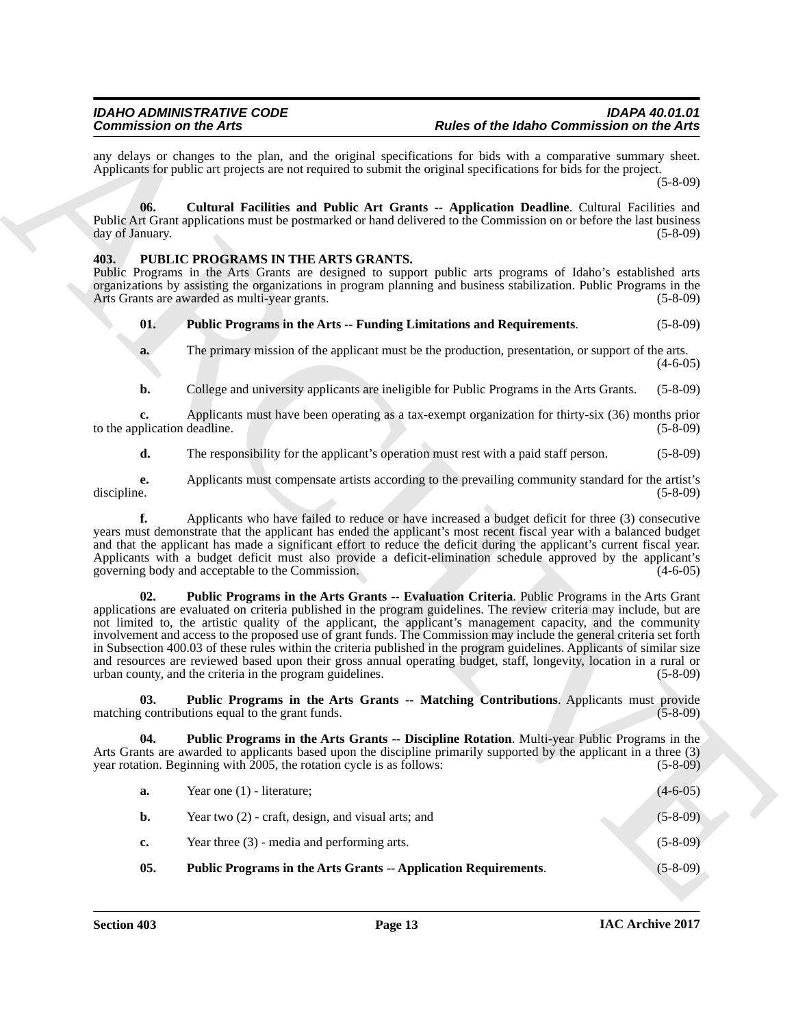### <span id="page-12-7"></span><span id="page-12-6"></span><span id="page-12-5"></span><span id="page-12-4"></span><span id="page-12-3"></span><span id="page-12-2"></span><span id="page-12-1"></span><span id="page-12-0"></span>**403. PUBLIC PROGRAMS IN THE ARTS GRANTS.**

| <b>Commission on the Arts</b>      |                                                                                                                                                                                                                                                                                                                                                                                                                                                                                                                                                                                                                                                                                                                                                                              | Rules of the Idaho Commission on the Arts |  |  |
|------------------------------------|------------------------------------------------------------------------------------------------------------------------------------------------------------------------------------------------------------------------------------------------------------------------------------------------------------------------------------------------------------------------------------------------------------------------------------------------------------------------------------------------------------------------------------------------------------------------------------------------------------------------------------------------------------------------------------------------------------------------------------------------------------------------------|-------------------------------------------|--|--|
|                                    | any delays or changes to the plan, and the original specifications for bids with a comparative summary sheet.<br>Applicants for public art projects are not required to submit the original specifications for bids for the project.                                                                                                                                                                                                                                                                                                                                                                                                                                                                                                                                         | $(5-8-09)$                                |  |  |
| 06.<br>day of January.             | Cultural Facilities and Public Art Grants -- Application Deadline. Cultural Facilities and<br>Public Art Grant applications must be postmarked or hand delivered to the Commission on or before the last business                                                                                                                                                                                                                                                                                                                                                                                                                                                                                                                                                            | $(5-8-09)$                                |  |  |
| 403.                               | PUBLIC PROGRAMS IN THE ARTS GRANTS.<br>Public Programs in the Arts Grants are designed to support public arts programs of Idaho's established arts<br>organizations by assisting the organizations in program planning and business stabilization. Public Programs in the<br>Arts Grants are awarded as multi-year grants.                                                                                                                                                                                                                                                                                                                                                                                                                                                   | $(5-8-09)$                                |  |  |
| 01.                                | Public Programs in the Arts -- Funding Limitations and Requirements.                                                                                                                                                                                                                                                                                                                                                                                                                                                                                                                                                                                                                                                                                                         | $(5 - 8 - 09)$                            |  |  |
| a.                                 | The primary mission of the applicant must be the production, presentation, or support of the arts.                                                                                                                                                                                                                                                                                                                                                                                                                                                                                                                                                                                                                                                                           | $(4-6-05)$                                |  |  |
| b.                                 | College and university applicants are ineligible for Public Programs in the Arts Grants.                                                                                                                                                                                                                                                                                                                                                                                                                                                                                                                                                                                                                                                                                     | $(5-8-09)$                                |  |  |
| c.<br>to the application deadline. | Applicants must have been operating as a tax-exempt organization for thirty-six (36) months prior                                                                                                                                                                                                                                                                                                                                                                                                                                                                                                                                                                                                                                                                            | $(5-8-09)$                                |  |  |
| d.                                 | The responsibility for the applicant's operation must rest with a paid staff person.                                                                                                                                                                                                                                                                                                                                                                                                                                                                                                                                                                                                                                                                                         | $(5-8-09)$                                |  |  |
| e.<br>discipline.                  | Applicants must compensate artists according to the prevailing community standard for the artist's                                                                                                                                                                                                                                                                                                                                                                                                                                                                                                                                                                                                                                                                           | $(5-8-09)$                                |  |  |
| f.                                 | Applicants who have failed to reduce or have increased a budget deficit for three (3) consecutive<br>years must demonstrate that the applicant has ended the applicant's most recent fiscal year with a balanced budget<br>and that the applicant has made a significant effort to reduce the deficit during the applicant's current fiscal year.<br>Applicants with a budget deficit must also provide a deficit-elimination schedule approved by the applicant's<br>governing body and acceptable to the Commission.                                                                                                                                                                                                                                                       | $(4-6-05)$                                |  |  |
| 02.                                | Public Programs in the Arts Grants -- Evaluation Criteria. Public Programs in the Arts Grant<br>applications are evaluated on criteria published in the program guidelines. The review criteria may include, but are<br>not limited to, the artistic quality of the applicant, the applicant's management capacity, and the community<br>involvement and access to the proposed use of grant funds. The Commission may include the general criteria set forth<br>in Subsection 400.03 of these rules within the criteria published in the program guidelines. Applicants of similar size<br>and resources are reviewed based upon their gross annual operating budget, staff, longevity, location in a rural or<br>urban county, and the criteria in the program guidelines. | $(5-8-09)$                                |  |  |
| 03.                                | Public Programs in the Arts Grants -- Matching Contributions. Applicants must provide<br>matching contributions equal to the grant funds.                                                                                                                                                                                                                                                                                                                                                                                                                                                                                                                                                                                                                                    | $(5-8-09)$                                |  |  |
| 04.                                | <b>Public Programs in the Arts Grants -- Discipline Rotation.</b> Multi-year Public Programs in the<br>Arts Grants are awarded to applicants based upon the discipline primarily supported by the applicant in a three (3)<br>year rotation. Beginning with 2005, the rotation cycle is as follows:                                                                                                                                                                                                                                                                                                                                                                                                                                                                          | $(5-8-09)$                                |  |  |
| a.                                 | Year one $(1)$ - literature;                                                                                                                                                                                                                                                                                                                                                                                                                                                                                                                                                                                                                                                                                                                                                 | $(4-6-05)$                                |  |  |
| b.                                 | Year two $(2)$ - craft, design, and visual arts; and                                                                                                                                                                                                                                                                                                                                                                                                                                                                                                                                                                                                                                                                                                                         | $(5-8-09)$                                |  |  |
| c.                                 | Year three $(3)$ - media and performing arts.                                                                                                                                                                                                                                                                                                                                                                                                                                                                                                                                                                                                                                                                                                                                | $(5-8-09)$                                |  |  |
|                                    | Public Programs in the Arts Grants -- Application Requirements.                                                                                                                                                                                                                                                                                                                                                                                                                                                                                                                                                                                                                                                                                                              | $(5 - 8 - 09)$                            |  |  |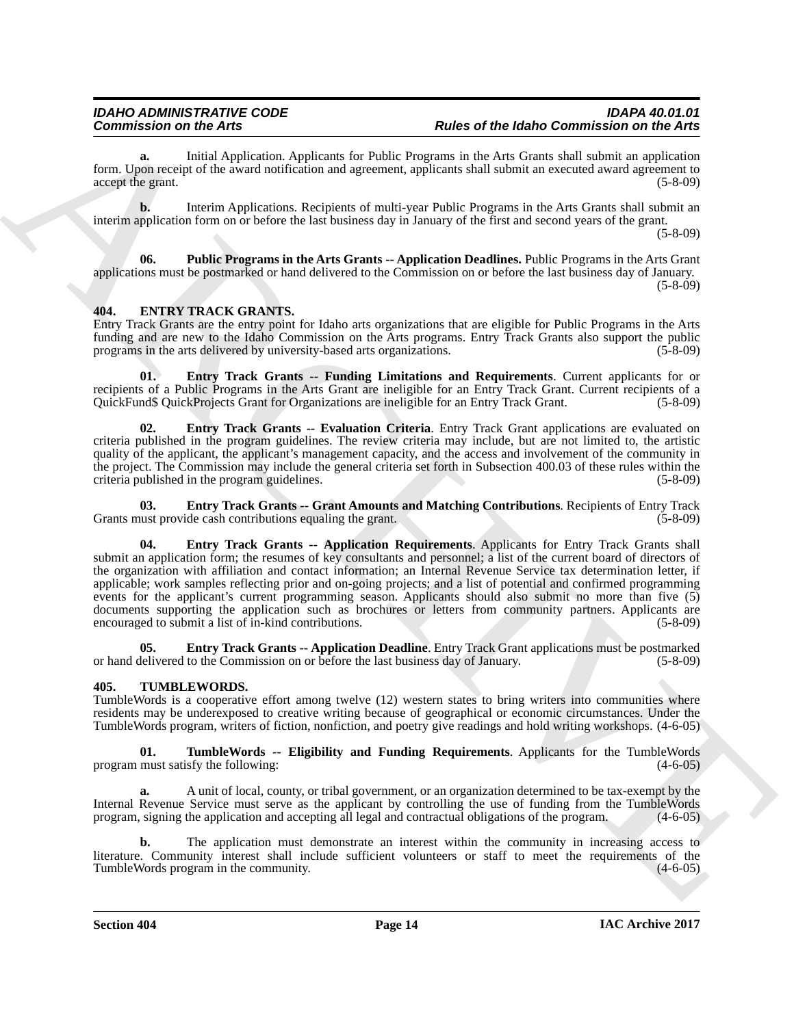**a.** Initial Application. Applicants for Public Programs in the Arts Grants shall submit an application form. Upon receipt of the award notification and agreement, applicants shall submit an executed award agreement to accept the grant. (5-8-09)

**b.** Interim Applications. Recipients of multi-year Public Programs in the Arts Grants shall submit an interim application form on or before the last business day in January of the first and second years of the grant.

(5-8-09)

<span id="page-13-8"></span>**06. Public Programs in the Arts Grants -- Application Deadlines.** Public Programs in the Arts Grant applications must be postmarked or hand delivered to the Commission on or before the last business day of January.  $(5-8-09)$ 

### <span id="page-13-2"></span><span id="page-13-0"></span>**404. ENTRY TRACK GRANTS.**

Entry Track Grants are the entry point for Idaho arts organizations that are eligible for Public Programs in the Arts funding and are new to the Idaho Commission on the Arts programs. Entry Track Grants also support the public programs in the arts delivered by university-based arts organizations. (5-8-09)

<span id="page-13-6"></span>**01. Entry Track Grants -- Funding Limitations and Requirements**. Current applicants for or recipients of a Public Programs in the Arts Grant are ineligible for an Entry Track Grant. Current recipients of a QuickFund\$ QuickProjects Grant for Organizations are ineligible for an Entry Track Grant. (5-8-09)

<span id="page-13-5"></span>**02. Entry Track Grants -- Evaluation Criteria**. Entry Track Grant applications are evaluated on criteria published in the program guidelines. The review criteria may include, but are not limited to, the artistic quality of the applicant, the applicant's management capacity, and the access and involvement of the community in the project. The Commission may include the general criteria set forth in Subsection 400.03 of these rules within the criteria published in the program guidelines. (5-8-09)

<span id="page-13-7"></span><span id="page-13-4"></span>**03. Entry Track Grants -- Grant Amounts and Matching Contributions**. Recipients of Entry Track ust provide cash contributions equaling the grant. (5-8-09) Grants must provide cash contributions equaling the grant.

Commission on the Arts<sup>2</sup> material in the United Properties. Here of the Harbor Commission on the Arts 2 material in the Commission of the Arts 2 material in the United Commission of the Arts 2 material in the United Comm **04. Entry Track Grants -- Application Requirements**. Applicants for Entry Track Grants shall submit an application form; the resumes of key consultants and personnel; a list of the current board of directors of the organization with affiliation and contact information; an Internal Revenue Service tax determination letter, if applicable; work samples reflecting prior and on-going projects; and a list of potential and confirmed programming events for the applicant's current programming season. Applicants should also submit no more than five (5) documents supporting the application such as brochures or letters from community partners. Applicants are encouraged to submit a list of in-kind contributions. (5-8-09)

<span id="page-13-3"></span>**Entry Track Grants -- Application Deadline**. Entry Track Grant applications must be postmarked to the Commission on or before the last business day of January. (5-8-09) or hand delivered to the Commission on or before the last business day of January.

### <span id="page-13-9"></span><span id="page-13-1"></span>**405. TUMBLEWORDS.**

TumbleWords is a cooperative effort among twelve (12) western states to bring writers into communities where residents may be underexposed to creative writing because of geographical or economic circumstances. Under the TumbleWords program, writers of fiction, nonfiction, and poetry give readings and hold writing workshops. (4-6-05)

<span id="page-13-10"></span>**01. TumbleWords -- Eligibility and Funding Requirements**. Applicants for the TumbleWords program must satisfy the following: (4-6-05)

**a.** A unit of local, county, or tribal government, or an organization determined to be tax-exempt by the Internal Revenue Service must serve as the applicant by controlling the use of funding from the TumbleWords program, signing the application and accepting all legal and contractual obligations of the program. (4-6-05)

**b.** The application must demonstrate an interest within the community in increasing access to literature. Community interest shall include sufficient volunteers or staff to meet the requirements of the TumbleWords program in the community. (4-6-05) (4-6-05)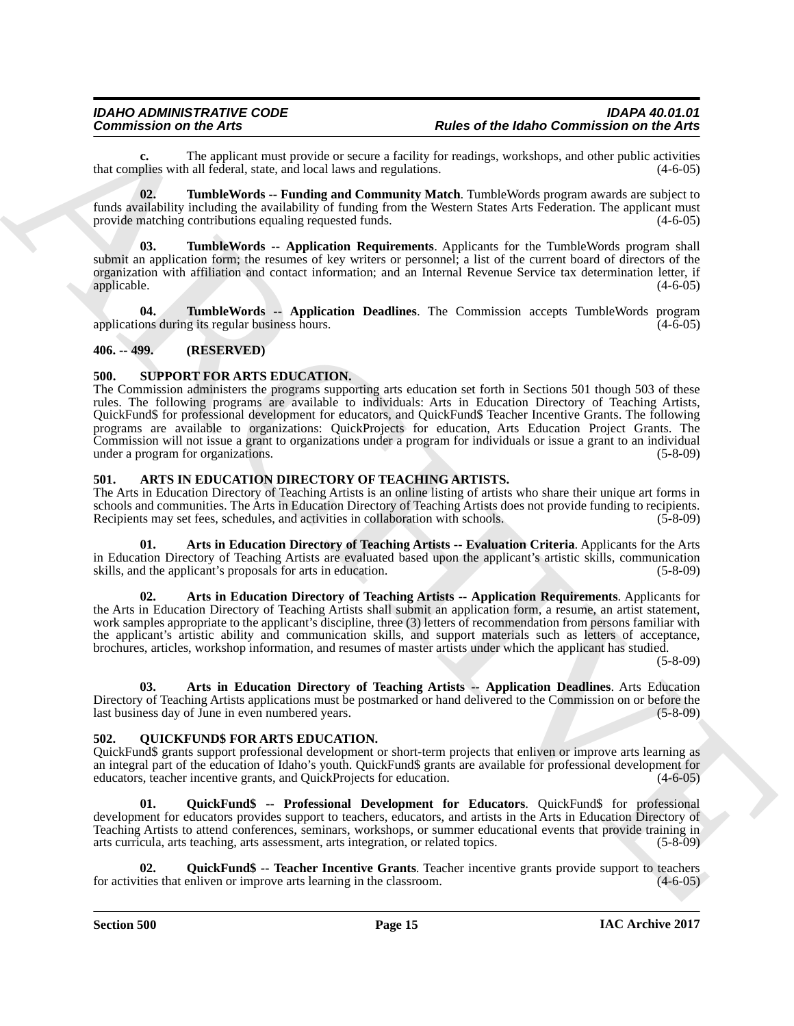**c.** The applicant must provide or secure a facility for readings, workshops, and other public activities plies with all federal, state, and local laws and regulations. (4-6-05) that complies with all federal, state, and local laws and regulations.

<span id="page-14-14"></span>**02. TumbleWords -- Funding and Community Match**. TumbleWords program awards are subject to funds availability including the availability of funding from the Western States Arts Federation. The applicant must provide matching contributions equaling requested funds. (4-6-05) (4-6-05)

<span id="page-14-13"></span>**03. TumbleWords -- Application Requirements**. Applicants for the TumbleWords program shall submit an application form; the resumes of key writers or personnel; a list of the current board of directors of the organization with affiliation and contact information; and an Internal Revenue Service tax determination letter, if applicable. (4-6-05)

<span id="page-14-12"></span>**04. TumbleWords -- Application Deadlines**. The Commission accepts TumbleWords program applications during its regular business hours.

### <span id="page-14-0"></span>**406. -- 499. (RESERVED)**

### <span id="page-14-11"></span><span id="page-14-1"></span>**500. SUPPORT FOR ARTS EDUCATION.**

Commission on the Arts and Arts and the other of the Islam of the Islam Commission on the Arts<br>
Intervention of the Schwarz and The Commission Commission of the Schwarz and Arts and the Commission of the Arts<br>
Interventio The Commission administers the programs supporting arts education set forth in Sections 501 though 503 of these rules. The following programs are available to individuals: Arts in Education Directory of Teaching Artists, QuickFund\$ for professional development for educators, and QuickFund\$ Teacher Incentive Grants. The following programs are available to organizations: QuickProjects for education, Arts Education Project Grants. The Commission will not issue a grant to organizations under a program for individuals or issue a grant to an individual under a program for organizations. (5-8-09)

### <span id="page-14-6"></span><span id="page-14-2"></span>**501. ARTS IN EDUCATION DIRECTORY OF TEACHING ARTISTS.**

The Arts in Education Directory of Teaching Artists is an online listing of artists who share their unique art forms in schools and communities. The Arts in Education Directory of Teaching Artists does not provide funding to recipients. Recipients may set fees, schedules, and activities in collaboration with schools. (5-8-09) (5-8-09)

**01. Arts in Education Directory of Teaching Artists -- Evaluation Criteria**. Applicants for the Arts in Education Directory of Teaching Artists are evaluated based upon the applicant's artistic skills, communication skills, and the applicant's proposals for arts in education. (5-8-09) (5-8-09)

**02. Arts in Education Directory of Teaching Artists -- Application Requirements**. Applicants for the Arts in Education Directory of Teaching Artists shall submit an application form, a resume, an artist statement, work samples appropriate to the applicant's discipline, three (3) letters of recommendation from persons familiar with the applicant's artistic ability and communication skills, and support materials such as letters of acceptance, brochures, articles, workshop information, and resumes of master artists under which the applicant has studied.

<span id="page-14-7"></span><span id="page-14-5"></span><span id="page-14-4"></span>(5-8-09)

**03. Arts in Education Directory of Teaching Artists -- Application Deadlines**. Arts Education Directory of Teaching Artists applications must be postmarked or hand delivered to the Commission on or before the last business day of June in even numbered years. (5-8-09)

### <span id="page-14-8"></span><span id="page-14-3"></span>**502. QUICKFUND\$ FOR ARTS EDUCATION.**

QuickFund\$ grants support professional development or short-term projects that enliven or improve arts learning as an integral part of the education of Idaho's youth. QuickFund\$ grants are available for professional development for educators, teacher incentive grants, and QuickProjects for education. (4-6-05)

<span id="page-14-9"></span>**01. QuickFund\$ -- Professional Development for Educators**. QuickFund\$ for professional development for educators provides support to teachers, educators, and artists in the Arts in Education Directory of Teaching Artists to attend conferences, seminars, workshops, or summer educational events that provide training in arts curricula, arts teaching, arts assessment, arts integration, or related topics. (5-8-09) arts curricula, arts teaching, arts assessment, arts integration, or related topics.

<span id="page-14-10"></span>**02. QuickFund\$ -- Teacher Incentive Grants**. Teacher incentive grants provide support to teachers for activities that enliven or improve arts learning in the classroom.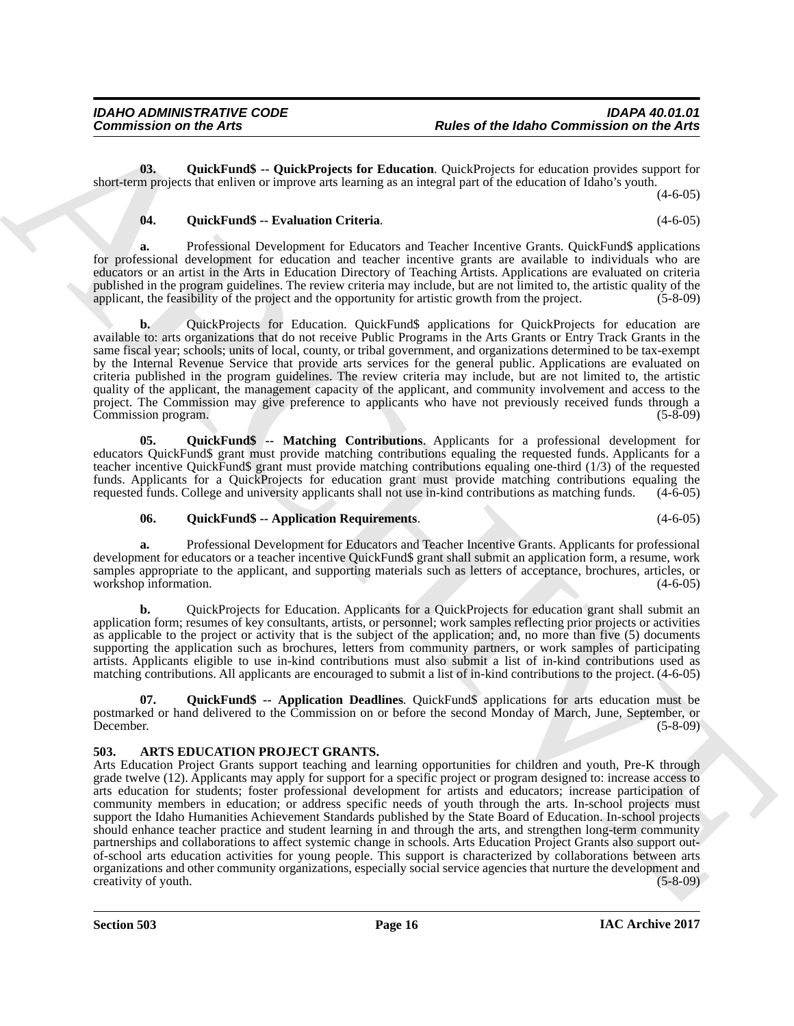**03. QuickFund\$ -- QuickProjects for Education**. QuickProjects for education provides support for short-term projects that enliven or improve arts learning as an integral part of the education of Idaho's youth.

 $(4-6-05)$ 

### <span id="page-15-6"></span><span id="page-15-4"></span>**04. QuickFund\$ -- Evaluation Criteria**. (4-6-05)

**a.** Professional Development for Educators and Teacher Incentive Grants. QuickFund\$ applications for professional development for education and teacher incentive grants are available to individuals who are educators or an artist in the Arts in Education Directory of Teaching Artists. Applications are evaluated on criteria published in the program guidelines. The review criteria may include, but are not limited to, the artistic quality of the applicant, the feasibility of the project and the opportunity for artistic growth from the project. applicant, the feasibility of the project and the opportunity for artistic growth from the project.

**b.** QuickProjects for Education. QuickFund\$ applications for QuickProjects for education are available to: arts organizations that do not receive Public Programs in the Arts Grants or Entry Track Grants in the same fiscal year; schools; units of local, county, or tribal government, and organizations determined to be tax-exempt by the Internal Revenue Service that provide arts services for the general public. Applications are evaluated on criteria published in the program guidelines. The review criteria may include, but are not limited to, the artistic quality of the applicant, the management capacity of the applicant, and community involvement and access to the project. The Commission may give preference to applicants who have not previously received funds through a Commission program. (5-8-09) Commission program.

**05. QuickFund\$ -- Matching Contributions**. Applicants for a professional development for educators QuickFund\$ grant must provide matching contributions equaling the requested funds. Applicants for a teacher incentive QuickFund\$ grant must provide matching contributions equaling one-third (1/3) of the requested funds. Applicants for a QuickProjects for education grant must provide matching contributions equaling the requested funds. College and university applicants shall not use in-kind contributions as matching funds. (4-6-05) requested funds. College and university applicants shall not use in-kind contributions as matching funds.

### <span id="page-15-5"></span><span id="page-15-3"></span>**06. QuickFund\$ -- Application Requirements**. (4-6-05)

**a.** Professional Development for Educators and Teacher Incentive Grants. Applicants for professional development for educators or a teacher incentive QuickFund\$ grant shall submit an application form, a resume, work samples appropriate to the applicant, and supporting materials such as letters of acceptance, brochures, articles, or workshop information. (4-6-05)

**b.** QuickProjects for Education. Applicants for a QuickProjects for education grant shall submit an application form; resumes of key consultants, artists, or personnel; work samples reflecting prior projects or activities as applicable to the project or activity that is the subject of the application; and, no more than five (5) documents supporting the application such as brochures, letters from community partners, or work samples of participating artists. Applicants eligible to use in-kind contributions must also submit a list of in-kind contributions used as matching contributions. All applicants are encouraged to submit a list of in-kind contributions to the project. (4-6-05)

<span id="page-15-1"></span>**07. QuickFund\$ -- Application Deadlines**. QuickFund\$ applications for arts education must be postmarked or hand delivered to the Commission on or before the second Monday of March, June, September, or December. (5-8-09) December. (5-8-09)

### <span id="page-15-2"></span><span id="page-15-0"></span>**503. ARTS EDUCATION PROJECT GRANTS.**

**Commission on the Arts <br>
Bulles of the father Commission on the Arts<br>
(b)** Observation of the Archivest for Education Cosin/Version of the Scheme of the Scheme of the Scheme of the Scheme of the Scheme of the Scheme of t Arts Education Project Grants support teaching and learning opportunities for children and youth, Pre-K through grade twelve (12). Applicants may apply for support for a specific project or program designed to: increase access to arts education for students; foster professional development for artists and educators; increase participation of community members in education; or address specific needs of youth through the arts. In-school projects must support the Idaho Humanities Achievement Standards published by the State Board of Education. In-school projects should enhance teacher practice and student learning in and through the arts, and strengthen long-term community partnerships and collaborations to affect systemic change in schools. Arts Education Project Grants also support outof-school arts education activities for young people. This support is characterized by collaborations between arts organizations and other community organizations, especially social service agencies that nurture the development and creativity of youth. (5-8-09) creativity of youth.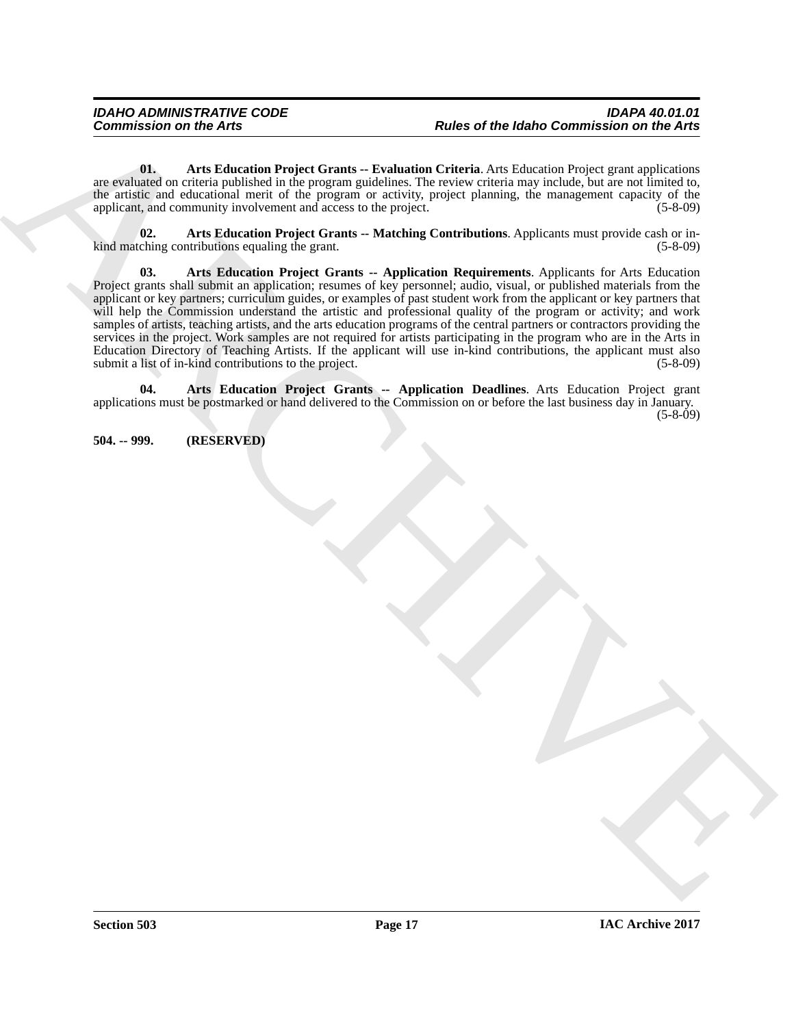<span id="page-16-3"></span>**01. Arts Education Project Grants -- Evaluation Criteria**. Arts Education Project grant applications are evaluated on criteria published in the program guidelines. The review criteria may include, but are not limited to, the artistic and educational merit of the program or activity, project planning, the management capacity of the applicant, and community involvement and access to the project. (5-8-09)

<span id="page-16-4"></span><span id="page-16-2"></span>**02. Arts Education Project Grants -- Matching Contributions**. Applicants must provide cash or inkind matching contributions equaling the grant. (5-8-09)

Commission on the Arts<br>  $\eta_{AB}$  and the London Project Grands - Probability Chinese control to the Marchives Chinese Chinese Chinese Chinese Chinese Chinese Chinese Chinese Chinese Chinese Chinese Chinese Chinese Chinese **03. Arts Education Project Grants -- Application Requirements**. Applicants for Arts Education Project grants shall submit an application; resumes of key personnel; audio, visual, or published materials from the applicant or key partners; curriculum guides, or examples of past student work from the applicant or key partners that will help the Commission understand the artistic and professional quality of the program or activity; and work samples of artists, teaching artists, and the arts education programs of the central partners or contractors providing the services in the project. Work samples are not required for artists participating in the program who are in the Arts in Education Directory of Teaching Artists. If the applicant will use in-kind contributions, the applicant must also submit a list of in-kind contributions to the project. (5-8-09) submit a list of in-kind contributions to the project.

<span id="page-16-1"></span>**04. Arts Education Project Grants -- Application Deadlines**. Arts Education Project grant applications must be postmarked or hand delivered to the Commission on or before the last business day in January.  $(5-8-0.09)$ 

<span id="page-16-0"></span>**504. -- 999. (RESERVED)**